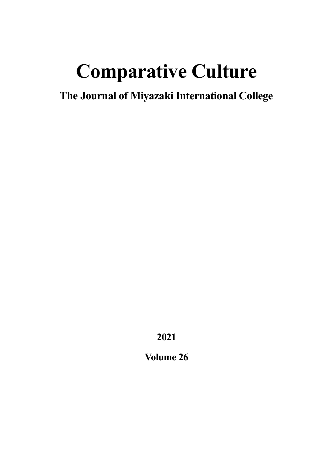# **Comparative Culture**

**The Journal of Miyazaki International College**

**2021**

**Volume 26**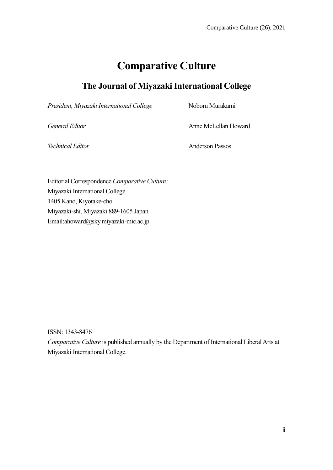## **Comparative Culture**

## **The Journal of Miyazaki International College**

President, Miyazaki International College Noboru Murakami

*General Editor* Anne McLellan Howard

*Technical Editor* Anderson Passos

Editorial Correspondence *Comparative Culture:* Miyazaki International College 1405 Kano, Kiyotake-cho Miyazaki-shi, Miyazaki 889-1605 Japan Email:ahoward@sky.miyazaki-mic.ac.jp

ISSN: 1343-8476

*Comparative Culture* is published annually by the Department of International Liberal Arts at Miyazaki International College.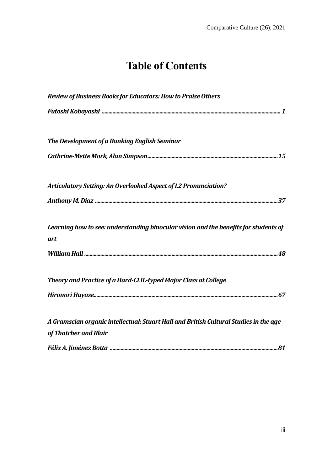# **Table of Contents**

| Review of Business Books for Educators: How to Praise Others                                                   |  |
|----------------------------------------------------------------------------------------------------------------|--|
|                                                                                                                |  |
| The Development of a Banking English Seminar                                                                   |  |
|                                                                                                                |  |
| Articulatory Setting: An Overlooked Aspect of L2 Pronunciation?                                                |  |
|                                                                                                                |  |
| Learning how to see: understanding binocular vision and the benefits for students of<br>art                    |  |
|                                                                                                                |  |
| Theory and Practice of a Hard-CLIL-typed Major Class at College                                                |  |
|                                                                                                                |  |
| A Gramscian organic intellectual: Stuart Hall and British Cultural Studies in the age<br>of Thatcher and Blair |  |
|                                                                                                                |  |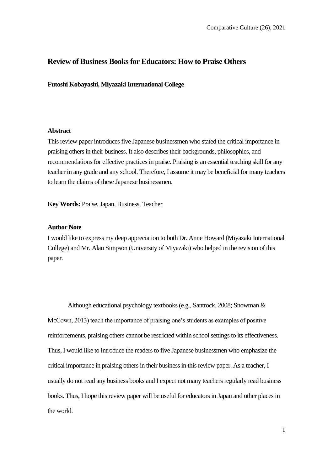#### **Review of Business Books for Educators: How to Praise Others**

**Futoshi Kobayashi, Miyazaki International College**

#### **Abstract**

This review paper introduces five Japanese businessmen who stated the critical importance in praising others in their business. It also describes their backgrounds, philosophies, and recommendations for effective practices in praise. Praising is an essential teaching skill for any teacher in any grade and any school. Therefore, I assume it may be beneficial for many teachers to learn the claims of these Japanese businessmen.

**Key Words:** Praise, Japan, Business, Teacher

#### **Author Note**

I would like to express my deep appreciation to both Dr. Anne Howard (Miyazaki International College) and Mr. Alan Simpson (University of Miyazaki) who helped in the revision of this paper.

Although educational psychology textbooks (e.g., Santrock, 2008; Snowman & McCown, 2013) teach the importance of praising one's students as examples of positive reinforcements, praising others cannot be restricted within school settings to its effectiveness. Thus, I would like to introduce the readers to five Japanese businessmen who emphasize the critical importance in praising others in their business in this review paper. As a teacher, I usually do not read any business books and I expect not many teachers regularly read business books. Thus, I hope this review paper will be useful for educators in Japan and other places in the world.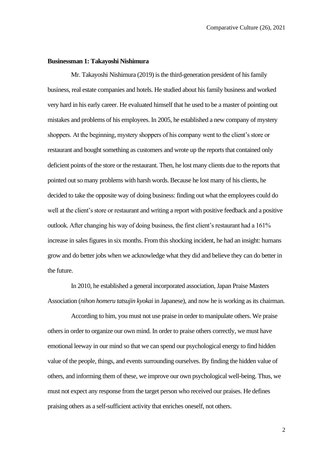#### **Businessman 1: Takayoshi Nishimura**

Mr. Takayoshi Nishimura (2019) is the third-generation president of his family business, real estate companies and hotels. He studied about his family business and worked very hard in his early career. He evaluated himself that he used to be a master of pointing out mistakes and problems of his employees. In 2005, he established a new company of mystery shoppers. At the beginning, mystery shoppers of his company went to the client's store or restaurant and bought something as customers and wrote up the reports that contained only deficient points of the store or the restaurant. Then, he lost many clients due to the reports that pointed out so many problems with harsh words. Because he lost many of his clients, he decided to take the opposite way of doing business: finding out what the employees could do well at the client's store or restaurant and writing a report with positive feedback and a positive outlook. After changing his way of doing business, the first client's restaurant had a 161% increase in sales figures in six months. From this shocking incident, he had an insight: humans grow and do better jobs when we acknowledge what they did and believe they can do better in the future.

In 2010, he established a general incorporated association, Japan Praise Masters Association (*nihon homeru tatsujin kyokai* in Japanese), and now he is working as its chairman.

According to him, you must not use praise in order to manipulate others. We praise others in order to organize our own mind. In order to praise others correctly, we must have emotional leeway in our mind so that we can spend our psychological energy to find hidden value of the people, things, and events surrounding ourselves. By finding the hidden value of others, and informing them of these, we improve our own psychological well-being. Thus, we must not expect any response from the target person who received our praises. He defines praising others as a self-sufficient activity that enriches oneself, not others.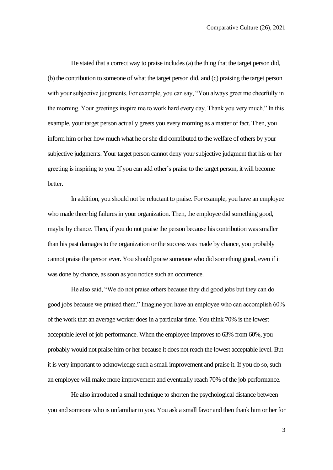He stated that a correct way to praise includes (a) the thing that the target person did, (b) the contribution to someone of what the target person did, and (c) praising the target person with your subjective judgments. For example, you can say, "You always greet me cheerfully in the morning. Your greetings inspire me to work hard every day. Thank you very much." In this example, your target person actually greets you every morning as a matter of fact. Then, you inform him or her how much what he or she did contributed to the welfare of others by your subjective judgments. Your target person cannot deny your subjective judgment that his or her greeting is inspiring to you. If you can add other's praise to the target person, it will become better.

In addition, you should not be reluctant to praise. For example, you have an employee who made three big failures in your organization. Then, the employee did something good, maybe by chance. Then, if you do not praise the person because his contribution was smaller than his past damages to the organization or the success was made by chance, you probably cannot praise the person ever. You should praise someone who did something good, even if it was done by chance, as soon as you notice such an occurrence.

He also said, "We do not praise others because they did good jobs but they can do good jobs because we praised them." Imagine you have an employee who can accomplish 60% of the work that an average worker does in a particular time. You think 70% is the lowest acceptable level of job performance. When the employee improves to 63% from 60%, you probably would not praise him or her because it does not reach the lowest acceptable level. But it is very important to acknowledge such a small improvement and praise it. If you do so, such an employee will make more improvement and eventually reach 70% of the job performance.

He also introduced a small technique to shorten the psychological distance between you and someone who is unfamiliar to you. You ask a small favor and then thank him or her for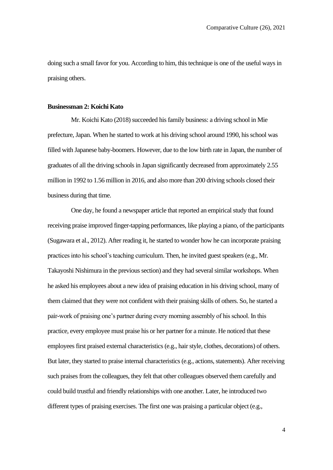doing such a small favor for you. According to him, this technique is one of the useful ways in praising others.

#### **Businessman 2: Koichi Kato**

Mr. Koichi Kato (2018) succeeded his family business: a driving school in Mie prefecture, Japan. When he started to work at his driving school around 1990, his school was filled with Japanese baby-boomers. However, due to the low birth rate in Japan, the number of graduates of all the driving schools in Japan significantly decreased from approximately 2.55 million in 1992 to 1.56 million in 2016, and also more than 200 driving schools closed their business during that time.

One day, he found a newspaper article that reported an empirical study that found receiving praise improved finger-tapping performances, like playing a piano, of the participants (Sugawara et al., 2012). After reading it, he started to wonder how he can incorporate praising practices into his school's teaching curriculum. Then, he invited guest speakers (e.g., Mr. Takayoshi Nishimura in the previous section) and they had several similar workshops. When he asked his employees about a new idea of praising education in his driving school, many of them claimed that they were not confident with their praising skills of others. So, he started a pair-work of praising one's partner during every morning assembly of his school. In this practice, every employee must praise his or her partner for a minute. He noticed that these employees first praised external characteristics (e.g., hair style, clothes, decorations) of others. But later, they started to praise internal characteristics (e.g., actions, statements). After receiving such praises from the colleagues, they felt that other colleagues observed them carefully and could build trustful and friendly relationships with one another. Later, he introduced two different types of praising exercises. The first one was praising a particular object (e.g.,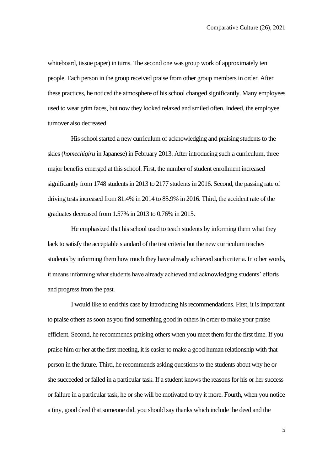whiteboard, tissue paper) in turns. The second one was group work of approximately ten people. Each person in the group received praise from other group members in order. After these practices, he noticed the atmosphere of his school changed significantly. Many employees used to wear grim faces, but now they looked relaxed and smiled often. Indeed, the employee turnover also decreased.

His school started a new curriculum of acknowledging and praising students to the skies (*homechigiru* in Japanese) in February 2013. After introducing such a curriculum, three major benefits emerged at this school. First, the number of student enrollment increased significantly from 1748 students in 2013 to 2177 students in 2016. Second, the passing rate of driving tests increased from 81.4% in 2014 to 85.9% in 2016. Third, the accident rate of the graduates decreased from 1.57% in 2013 to 0.76% in 2015.

He emphasized that his school used to teach students by informing them what they lack to satisfy the acceptable standard of the test criteria but the new curriculum teaches students by informing them how much they have already achieved such criteria. In other words, it means informing what students have already achieved and acknowledging students' efforts and progress from the past.

I would like to end this case by introducing his recommendations. First, it is important to praise others as soon as you find something good in others in order to make your praise efficient. Second, he recommends praising others when you meet them for the first time. If you praise him or her at the first meeting, it is easier to make a good human relationship with that person in the future. Third, he recommends asking questions to the students about why he or she succeeded or failed in a particular task. If a student knows the reasons for his or her success or failure in a particular task, he or she will be motivated to try it more. Fourth, when you notice a tiny, good deed that someone did, you should say thanks which include the deed and the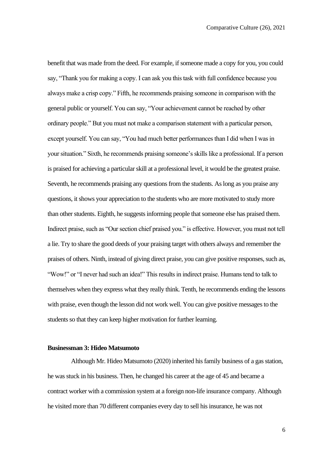benefit that was made from the deed. For example, if someone made a copy for you, you could say, "Thank you for making a copy. I can ask you this task with full confidence because you always make a crisp copy." Fifth, he recommends praising someone in comparison with the general public or yourself. You can say, "Your achievement cannot be reached by other ordinary people." But you must not make a comparison statement with a particular person, except yourself. You can say, "You had much better performances than I did when I was in your situation." Sixth, he recommends praising someone's skills like a professional. If a person is praised for achieving a particular skill at a professional level, it would be the greatest praise. Seventh, he recommends praising any questions from the students. As long as you praise any questions, it shows your appreciation to the students who are more motivated to study more than other students. Eighth, he suggests informing people that someone else has praised them. Indirect praise, such as "Our section chief praised you." is effective. However, you must not tell a lie. Try to share the good deeds of your praising target with others always and remember the praises of others. Ninth, instead of giving direct praise, you can give positive responses, such as, "Wow!" or "I never had such an idea!" This results in indirect praise. Humans tend to talk to themselves when they express what they really think. Tenth, he recommends ending the lessons with praise, even though the lesson did not work well. You can give positive messages to the students so that they can keep higher motivation for further learning.

#### **Businessman 3: Hideo Matsumoto**

Although Mr. Hideo Matsumoto (2020) inherited his family business of a gas station, he was stuck in his business. Then, he changed his career at the age of 45 and became a contract worker with a commission system at a foreign non-life insurance company. Although he visited more than 70 different companies every day to sell his insurance, he was not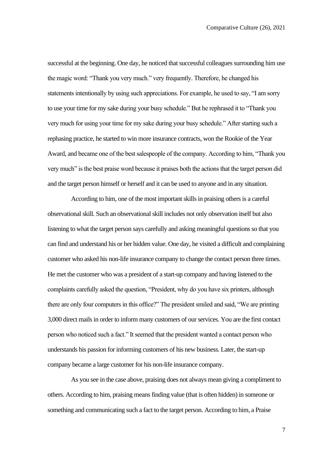successful at the beginning. One day, he noticed that successful colleagues surrounding him use the magic word: "Thank you very much." very frequently. Therefore, he changed his statements intentionally by using such appreciations. For example, he used to say, "I am sorry to use your time for my sake during your busy schedule." But he rephrased it to "Thank you very much for using your time for my sake during your busy schedule." After starting such a rephasing practice, he started to win more insurance contracts, won the Rookie of the Year Award, and became one of the best salespeople of the company. According to him, "Thank you very much" is the best praise word because it praises both the actions that the target person did and the target person himself or herself and it can be used to anyone and in any situation.

According to him, one of the most important skills in praising others is a careful observational skill. Such an observational skill includes not only observation itself but also listening to what the target person says carefully and asking meaningful questions so that you can find and understand his or her hidden value. One day, he visited a difficult and complaining customer who asked his non-life insurance company to change the contact person three times. He met the customer who was a president of a start-up company and having listened to the complaints carefully asked the question, "President, why do you have six printers, although there are only four computers in this office?" The president smiled and said, "We are printing 3,000 direct mails in order to inform many customers of our services. You are the first contact person who noticed such a fact." It seemed that the president wanted a contact person who understands his passion for informing customers of his new business. Later, the start-up company became a large customer for his non-life insurance company.

As you see in the case above, praising does not always mean giving a compliment to others. According to him, praising means finding value (that is often hidden) in someone or something and communicating such a fact to the target person. According to him, a Praise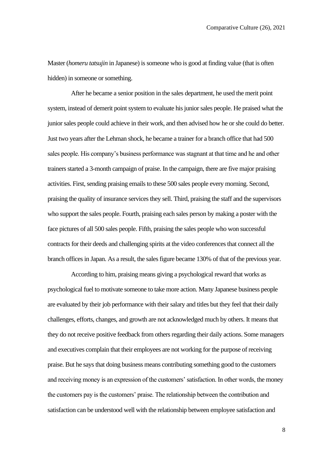Master (*homeru tatsujin* in Japanese) is someone who is good at finding value (that is often hidden) in someone or something.

After he became a senior position in the sales department, he used the merit point system, instead of demerit point system to evaluate his junior sales people. He praised what the junior sales people could achieve in their work, and then advised how he or she could do better. Just two years after the Lehman shock, he became a trainer for a branch office that had 500 sales people. His company's business performance was stagnant at that time and he and other trainers started a 3-month campaign of praise. In the campaign, there are five major praising activities. First, sending praising emails to these 500 sales people every morning. Second, praising the quality of insurance services they sell. Third, praising the staff and the supervisors who support the sales people. Fourth, praising each sales person by making a poster with the face pictures of all 500 sales people. Fifth, praising the sales people who won successful contracts for their deeds and challenging spirits at the video conferences that connect all the branch offices in Japan. As a result, the salesfigure became 130% of that of the previous year.

According to him, praising means giving a psychological reward that works as psychological fuel to motivate someone to take more action. Many Japanese business people are evaluated by their job performance with their salary and titles but they feel that their daily challenges, efforts, changes, and growth are not acknowledged much by others. It means that they do not receive positive feedback from others regarding their daily actions. Some managers and executives complain that their employees are not working for the purpose of receiving praise. But he says that doing business means contributing something good to the customers and receiving money is an expression of the customers' satisfaction. In other words, the money the customers pay is the customers' praise. The relationship between the contribution and satisfaction can be understood well with the relationship between employee satisfaction and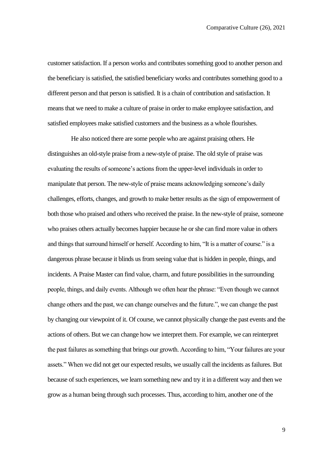customer satisfaction. If a person works and contributes something good to another person and the beneficiary is satisfied, the satisfied beneficiary works and contributes something good to a different person and that person is satisfied. It is a chain of contribution and satisfaction. It means that we need to make a culture of praise in order to make employee satisfaction, and satisfied employees make satisfied customers and the business as a whole flourishes.

He also noticed there are some people who are against praising others. He distinguishes an old-style praise from a new-style of praise. The old style of praise was evaluating the results of someone's actions from the upper-level individuals in order to manipulate that person. The new-style of praise means acknowledging someone's daily challenges, efforts, changes, and growth to make better results as the sign of empowerment of both those who praised and others who received the praise. In the new-style of praise, someone who praises others actually becomes happier because he or she can find more value in others and things that surround himself or herself. According to him, "It is a matter of course." is a dangerous phrase because it blinds us from seeing value that is hidden in people, things, and incidents. A Praise Master can find value, charm, and future possibilities in the surrounding people, things, and daily events. Although we often hear the phrase: "Even though we cannot change others and the past, we can change ourselves and the future.", we can change the past by changing our viewpoint of it. Of course, we cannot physically change the past events and the actions of others. But we can change how we interpret them. For example, we can reinterpret the past failures as something that brings our growth. According to him, "Your failures are your assets." When we did not get our expected results, we usually call the incidents as failures. But because of such experiences, we learn something new and try it in a different way and then we grow as a human being through such processes. Thus, according to him, another one of the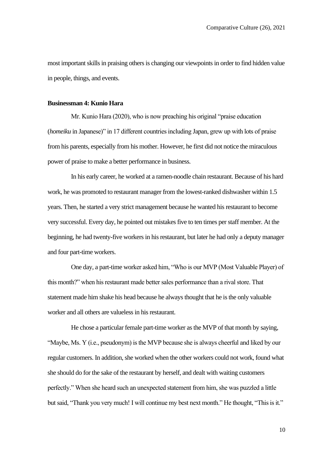most important skills in praising others is changing our viewpoints in order to find hidden value in people, things, and events.

#### **Businessman 4: Kunio Hara**

Mr. Kunio Hara (2020), who is now preaching his original "praise education (*homeiku* in Japanese)" in 17 different countries including Japan, grew up with lots of praise from his parents, especially from his mother. However, he first did not notice the miraculous power of praise to make a better performance in business.

In his early career, he worked at a ramen-noodle chain restaurant. Because of his hard work, he was promoted to restaurant manager from the lowest-ranked dishwasher within 1.5 years. Then, he started a very strict management because he wanted his restaurant to become very successful. Every day, he pointed out mistakes five to ten times per staff member. At the beginning, he had twenty-five workers in his restaurant, but later he had only a deputy manager and four part-time workers.

One day, a part-time worker asked him, "Who is our MVP (Most Valuable Player) of this month?" when his restaurant made better sales performance than a rival store. That statement made him shake his head because he always thought that he is the only valuable worker and all others are valueless in his restaurant.

He chose a particular female part-time worker as the MVP of that month by saying, "Maybe, Ms. Y (i.e., pseudonym) is the MVP because she is always cheerful and liked by our regular customers. In addition, she worked when the other workers could not work, found what she should do for the sake of the restaurant by herself, and dealt with waiting customers perfectly." When she heard such an unexpected statement from him, she was puzzled a little but said, "Thank you very much! I will continue my best next month." He thought, "This is it."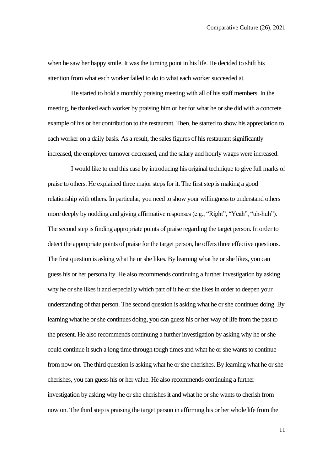when he saw her happy smile. It was the turning point in his life. He decided to shift his attention from what each worker failed to do to what each worker succeeded at.

He started to hold a monthly praising meeting with all of his staff members. In the meeting, he thanked each worker by praising him or her for what he or she did with a concrete example of his or her contribution to the restaurant. Then, he started to show his appreciation to each worker on a daily basis. As a result, the sales figures of his restaurant significantly increased, the employee turnover decreased, and the salary and hourly wages were increased.

I would like to end this case by introducing his original technique to give full marks of praise to others. He explained three major steps for it. The first step is making a good relationship with others. In particular, you need to show your willingness to understand others more deeply by nodding and giving affirmative responses (e.g., "Right", "Yeah", "uh-huh"). The second step is finding appropriate points of praise regarding the target person. In order to detect the appropriate points of praise for the target person, he offers three effective questions. The first question is asking what he or she likes. By learning what he or she likes, you can guess his or her personality. He also recommends continuing a further investigation by asking why he or she likes it and especially which part of it he or she likes in order to deepen your understanding of that person. The second question is asking what he or she continues doing. By learning what he or she continues doing, you can guess his or her way of life from the past to the present. He also recommends continuing a further investigation by asking why he or she could continue it such a long time through tough times and what he or she wants to continue from now on. The third question is asking what he or she cherishes. By learning what he or she cherishes, you can guess his or her value. He also recommends continuing a further investigation by asking why he or she cherishes it and what he or she wants to cherish from now on. The third step is praising the target person in affirming his or her whole life from the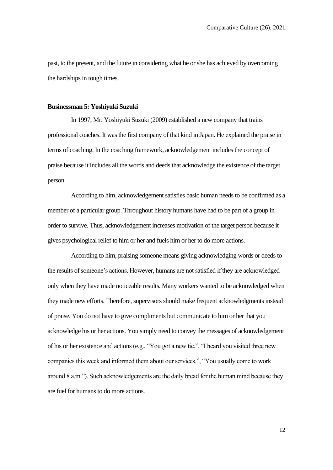past, to the present, and the future in considering what he or she has achieved by overcoming the hardships in tough times.

#### **Businessman 5: Yoshiyuki Suzuki**

In 1997, Mr. Yoshiyuki Suzuki (2009) established a new company that trains professional coaches. It was the first company of that kind in Japan. He explained the praise in terms of coaching. In the coaching framework, acknowledgement includes the concept of praise because it includes all the words and deeds that acknowledge the existence of the target person.

According to him, acknowledgement satisfies basic human needs to be confirmed as a member of a particular group. Throughout history humans have had to be part of a group in order to survive. Thus, acknowledgement increases motivation of the target person because it gives psychological relief to him or her and fuels him or her to do more actions.

According to him, praising someone means giving acknowledging words or deeds to the results of someone's actions. However, humans are not satisfied if they are acknowledged only when they have made noticeable results. Many workers wanted to be acknowledged when they made new efforts. Therefore, supervisors should make frequent acknowledgments instead of praise. You do not have to give compliments but communicate to him or her that you acknowledge his or her actions. You simply need to convey the messages of acknowledgement of his or her existence and actions (e.g., "You got a new tie.", "I heard you visited three new companies this week and informed them about our services.", "You usually come to work around 8 a.m."). Such acknowledgements are the daily bread for the human mind because they are fuel for humans to do more actions.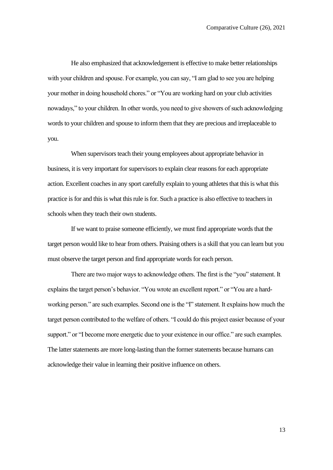He also emphasized that acknowledgement is effective to make better relationships with your children and spouse. For example, you can say, "I am glad to see you are helping your mother in doing household chores." or "You are working hard on your club activities nowadays," to your children. In other words, you need to give showers of such acknowledging words to your children and spouse to inform them that they are precious and irreplaceable to you.

When supervisors teach their young employees about appropriate behavior in business, it is very important for supervisors to explain clear reasons for each appropriate action. Excellent coaches in any sport carefully explain to young athletes that this is what this practice is for and this is what this rule is for. Such a practice is also effective to teachers in schools when they teach their own students.

If we want to praise someone efficiently, we must find appropriate words that the target person would like to hear from others. Praising others is a skill that you can learn but you must observe the target person and find appropriate words for each person.

There are two major ways to acknowledge others. The first is the "you" statement. It explains the target person's behavior. "You wrote an excellent report." or "You are a hardworking person." are such examples. Second one is the "I" statement. It explains how much the target person contributed to the welfare of others. "I could do this project easier because of your support." or "I become more energetic due to your existence in our office." are such examples. The latter statements are more long-lasting than the former statements because humans can acknowledge their value in learning their positive influence on others.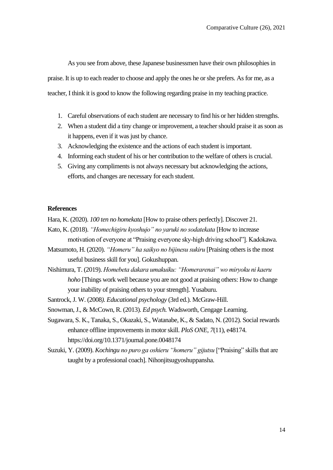As you see from above, these Japanese businessmen have their own philosophies in praise. It is up to each reader to choose and apply the ones he or she prefers. As for me, as a teacher, I think it is good to know the following regarding praise in my teaching practice.

- 1. Careful observations of each student are necessary to find his or her hidden strengths.
- 2. When a student did a tiny change or improvement, a teacher should praise it as soon as it happens, even if it was just by chance.
- 3. Acknowledging the existence and the actions of each student is important.
- 4. Informing each student of his or her contribution to the welfare of others is crucial.
- 5. Giving any compliments is not always necessary but acknowledging the actions, efforts, and changes are necessary for each student.

#### **References**

Hara, K. (2020). *100 ten no homekata* [How to praise others perfectly]. Discover 21.

- Kato, K. (2018). *"Homechigiru kyoshujo" no yaruki no sodatekata* [How to increase motivation of everyone at "Praising everyone sky-high driving school"]. Kadokawa.
- Matsumoto, H. (2020). *"Homeru" ha saikyo no bijinesu sukiru* [Praising others is the most useful business skill for you]. Gokushuppan.
- Nishimura, T. (2019). *Homebeta dakara umakuiku: "Homerarenai" wo miryoku ni kaeru hoho* [Things work well because you are not good at praising others: How to change your inability of praising others to your strength]. Yusaburu.
- Santrock, J. W. (2008*). Educational psychology* (3rd ed.). McGraw-Hill.
- Snowman, J., & McCown, R. (2013). *Ed psych.* Wadsworth, Cengage Learning.
- Sugawara, S. K., Tanaka, S., Okazaki, S., Watanabe, K., & Sadato, N. (2012). Social rewards enhance offline improvements in motor skill. *PloS ONE, 7*(11), e48174. https://doi.org/10.1371/journal.pone.0048174
- Suzuki, Y. (2009). *Kochingu no puro ga oshieru "homeru" gijutsu* ["Praising" skills that are taught by a professional coach]. Nihonjitsugyoshuppansha.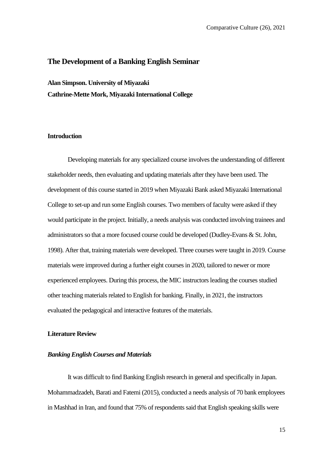#### **The Development of a Banking English Seminar**

**Alan Simpson. University of Miyazaki Cathrine-Mette Mork, Miyazaki International College**

#### **Introduction**

Developing materials for any specialized course involves the understanding of different stakeholder needs, then evaluating and updating materials after they have been used. The development of this course started in 2019 when Miyazaki Bank asked Miyazaki International College to set-up and run some English courses. Two members of faculty were asked if they would participate in the project. Initially, a needs analysis was conducted involving trainees and administrators so that a more focused course could be developed (Dudley-Evans & St. John, 1998). After that, training materials were developed. Three courses were taught in 2019. Course materials were improved during a further eight courses in 2020, tailored to newer or more experienced employees. During this process, the MIC instructors leading the courses studied other teaching materials related to English for banking. Finally, in 2021, the instructors evaluated the pedagogical and interactive features of the materials.

#### **Literature Review**

#### *Banking English Courses and Materials*

It was difficult to find Banking English research in general and specifically in Japan. Mohammadzadeh, Barati and Fatemi (2015), conducted a needs analysis of 70 bank employees in Mashhad in Iran, and found that 75% of respondents said that English speaking skills were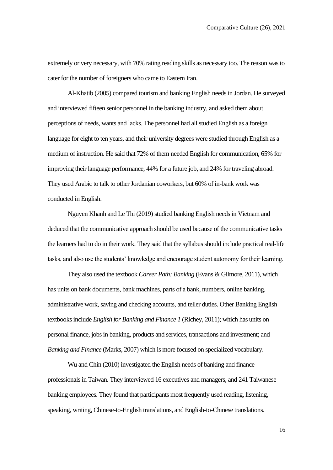extremely or very necessary, with 70% rating reading skills as necessary too. The reason was to cater for the number of foreigners who came to Eastern Iran.

Al-Khatib (2005) compared tourism and banking English needs in Jordan. He surveyed and interviewed fifteen senior personnel in the banking industry, and asked them about perceptions of needs, wants and lacks. The personnel had all studied English as a foreign language for eight to ten years, and their university degrees were studied through English as a medium of instruction. He said that 72% of them needed English for communication, 65% for improving their language performance, 44% for a future job, and 24% for traveling abroad. They used Arabic to talk to other Jordanian coworkers, but 60% of in-bank work was conducted in English.

Nguyen Khanh and Le Thi (2019) studied banking English needs in Vietnam and deduced that the communicative approach should be used because of the communicative tasks the learners had to do in their work. They said that the syllabus should include practical real-life tasks, and also use the students' knowledge and encourage student autonomy for their learning.

They also used the textbook *Career Path: Banking* (Evans & Gilmore, 2011), which has units on bank documents, bank machines, parts of a bank, numbers, online banking, administrative work, saving and checking accounts, and teller duties. Other Banking English textbooks include *English for Banking and Finance 1* (Richey, 2011); which has units on personal finance, jobs in banking, products and services, transactions and investment; and *Banking and Finance* (Marks, 2007) which is more focused on specialized vocabulary.

Wu and Chin (2010) investigated the English needs of banking and finance professionals in Taiwan. They interviewed 16 executives and managers, and 241 Taiwanese banking employees. They found that participants most frequently used reading, listening, speaking, writing, Chinese-to-English translations, and English-to-Chinese translations.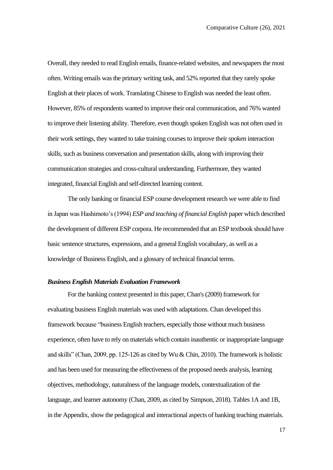Overall, they needed to read English emails, finance-related websites, and newspapers the most often. Writing emails was the primary writing task, and 52% reported that they rarely spoke English at their places of work. Translating Chinese to English was needed the least often. However, 85% of respondents wanted to improve their oral communication, and 76% wanted to improve their listening ability. Therefore, even though spoken English was not often used in their work settings, they wanted to take training courses to improve their spoken interaction skills, such as business conversation and presentation skills, along with improving their communication strategies and cross-cultural understanding. Furthermore, they wanted integrated, financial English and self-directed learning content.

The only banking or financial ESP course development research we were able to find in Japan was Hashimoto's (1994) *ESP and teaching of financial English* paper which described the development of different ESP corpora. He recommended that an ESP textbook should have basic sentence structures, expressions, and a general English vocabulary, as well as a knowledge of Business English, and a glossary of technical financial terms.

#### *Business English Materials Evaluation Framework*

For the banking context presented in this paper, Chan's (2009) framework for evaluating business English materials was used with adaptations. Chan developed this framework because "business English teachers, especially those without much business experience, often have to rely on materials which contain inauthentic or inappropriate language and skills" (Chan, 2009, pp. 125-126 as cited by Wu & Chin, 2010). The framework is holistic and has been used for measuring the effectiveness of the proposed needs analysis, learning objectives, methodology, naturalness of the language models, contextualization of the language, and learner autonomy (Chan, 2009, as cited by Simpson, 2018). Tables 1A and 1B, in the Appendix, show the pedagogical and interactional aspects of banking teaching materials.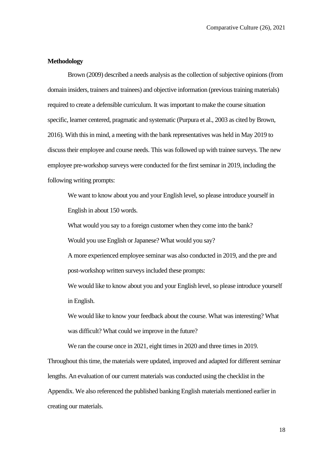#### **Methodology**

Brown (2009) described a needs analysis as the collection of subjective opinions (from domain insiders, trainers and trainees) and objective information (previous training materials) required to create a defensible curriculum. It was important to make the course situation specific, learner centered, pragmatic and systematic (Purpura et al., 2003 as cited by Brown, 2016). With this in mind, a meeting with the bank representatives was held in May 2019 to discuss their employee and course needs. This was followed up with trainee surveys. The new employee pre-workshop surveys were conducted for the first seminar in 2019, including the following writing prompts:

We want to know about you and your English level, so please introduce yourself in English in about 150 words.

What would you say to a foreign customer when they come into the bank?

Would you use English or Japanese? What would you say?

A more experienced employee seminar was also conducted in 2019, and the pre and post-workshop written surveys included these prompts:

We would like to know about you and your English level, so please introduce yourself in English.

We would like to know your feedback about the course. What was interesting? What was difficult? What could we improve in the future?

We ran the course once in 2021, eight times in 2020 and three times in 2019. Throughout this time, the materials were updated, improved and adapted for different seminar lengths. An evaluation of our current materials was conducted using the checklist in the Appendix. We also referenced the published banking English materials mentioned earlier in creating our materials.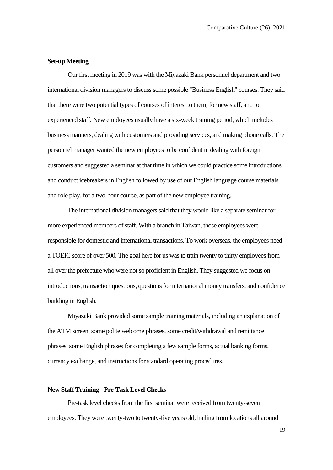#### **Set-up Meeting**

Our first meeting in 2019 was with the Miyazaki Bank personnel department and two international division managers to discuss some possible "Business English" courses. They said that there were two potential types of courses of interest to them, for new staff, and for experienced staff. New employees usually have a six-week training period, which includes business manners, dealing with customers and providing services, and making phone calls. The personnel manager wanted the new employees to be confident in dealing with foreign customers and suggested a seminar at that time in which we could practice some introductions and conduct icebreakers in English followed by use of our English language course materials and role play, for a two-hour course, as part of the new employee training.

The international division managers said that they would like a separate seminar for more experienced members of staff. With a branch in Taiwan, those employees were responsible for domestic and international transactions. To work overseas, the employees need a TOEIC score of over 500. The goal here for us was to train twenty to thirty employees from all over the prefecture who were not so proficient in English. They suggested we focus on introductions, transaction questions, questions for international money transfers, and confidence building in English.

Miyazaki Bank provided some sample training materials, including an explanation of the ATM screen, some polite welcome phrases, some credit/withdrawal and remittance phrases, some English phrases for completing a few sample forms, actual banking forms, currency exchange, and instructions for standard operating procedures.

#### **New Staff Training - Pre-Task Level Checks**

Pre-task level checks from the first seminar were received from twenty-seven employees. They were twenty-two to twenty-five years old, hailing from locations all around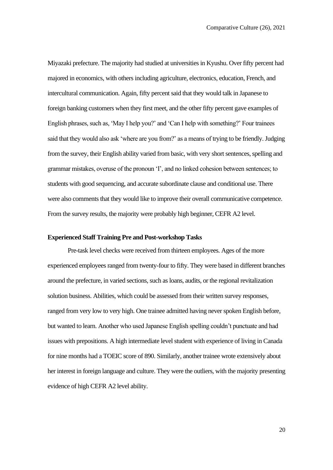Miyazaki prefecture. The majority had studied at universities in Kyushu. Over fifty percent had majored in economics, with others including agriculture, electronics, education, French, and intercultural communication. Again, fifty percent said that they would talk in Japanese to foreign banking customers when they first meet, and the other fifty percent gave examples of English phrases, such as, 'May I help you?' and 'Can I help with something?' Four trainees said that they would also ask 'where are you from?' as a means of trying to be friendly. Judging from the survey, their English ability varied from basic, with very short sentences, spelling and grammar mistakes, overuse of the pronoun 'I', and no linked cohesion between sentences; to students with good sequencing, and accurate subordinate clause and conditional use. There were also comments that they would like to improve their overall communicative competence. From the survey results, the majority were probably high beginner, CEFR A2 level.

#### **Experienced Staff Training Pre and Post-workshop Tasks**

Pre-task level checks were received from thirteen employees. Ages of the more experienced employees ranged from twenty-four to fifty. They were based in different branches around the prefecture, in varied sections, such as loans, audits, or the regional revitalization solution business. Abilities, which could be assessed from their written survey responses, ranged from very low to very high. One trainee admitted having never spoken English before, but wanted to learn. Another who used Japanese English spelling couldn't punctuate and had issues with prepositions. A high intermediate level student with experience of living in Canada for nine months had a TOEIC score of 890. Similarly, another trainee wrote extensively about her interest in foreign language and culture. They were the outliers, with the majority presenting evidence of high CEFR A2 level ability.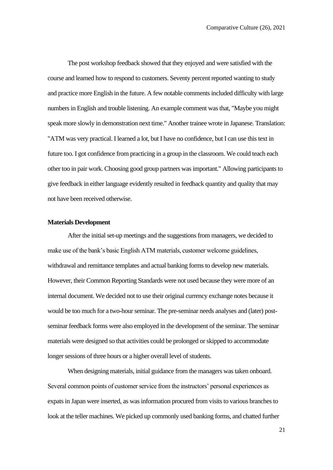The post workshop feedback showed that they enjoyed and were satisfied with the course and learned how to respond to customers. Seventy percent reported wanting to study and practice more English in the future. A few notable comments included difficulty with large numbers in English and trouble listening. An example comment was that, "Maybe you might speak more slowly in demonstration next time." Another trainee wrote in Japanese. Translation: "ATM was very practical. I learned a lot, but I have no confidence, but I can use this text in future too. I got confidence from practicing in a group in the classroom. We could teach each other too in pair work. Choosing good group partners was important." Allowing participants to give feedback in either language evidently resulted in feedback quantity and quality that may not have been received otherwise.

#### **Materials Development**

After the initial set-up meetings and the suggestions from managers, we decided to make use of the bank's basic English ATM materials, customer welcome guidelines, withdrawal and remittance templates and actual banking forms to develop new materials. However, their Common Reporting Standards were not used because they were more of an internal document. We decided not to use their original currency exchange notes because it would be too much for a two-hour seminar. The pre-seminar needs analyses and (later) postseminar feedback forms were also employed in the development of the seminar. The seminar materials were designed so that activities could be prolonged or skipped to accommodate longer sessions of three hours or a higher overall level of students.

When designing materials, initial guidance from the managers was taken onboard. Several common points of customer service from the instructors' personal experiences as expats in Japan were inserted, as was information procured from visits to various branches to look at the teller machines. We picked up commonly used banking forms, and chatted further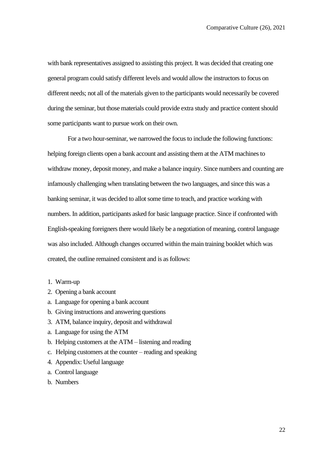with bank representatives assigned to assisting this project. It was decided that creating one general program could satisfy different levels and would allow the instructors to focus on different needs; not all of the materials given to the participants would necessarily be covered during the seminar, but those materials could provide extra study and practice content should some participants want to pursue work on their own.

For a two hour-seminar, we narrowed the focus to include the following functions: helping foreign clients open a bank account and assisting them at the ATM machines to withdraw money, deposit money, and make a balance inquiry. Since numbers and counting are infamously challenging when translating between the two languages, and since this was a banking seminar, it was decided to allot some time to teach, and practice working with numbers. In addition, participants asked for basic language practice. Since if confronted with English-speaking foreigners there would likely be a negotiation of meaning, control language was also included. Although changes occurred within the main training booklet which was created, the outline remained consistent and is as follows:

- 1. Warm-up
- 2. Opening a bank account
- a. Language for opening a bank account
- b. Giving instructions and answering questions
- 3. ATM, balance inquiry, deposit and withdrawal
- a. Language for using the ATM
- b. Helping customers at the ATM listening and reading
- c. Helping customers at the counter reading and speaking
- 4. Appendix: Useful language
- a. Control language
- b. Numbers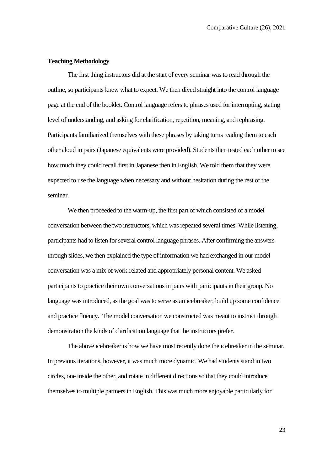#### **Teaching Methodology**

The first thing instructors did at the start of every seminar was to read through the outline, so participants knew what to expect. We then dived straight into the control language page at the end of the booklet. Control language refers to phrases used for interrupting, stating level of understanding, and asking for clarification, repetition, meaning, and rephrasing. Participants familiarized themselves with these phrases by taking turns reading them to each other aloud in pairs (Japanese equivalents were provided). Students then tested each other to see how much they could recall first in Japanese then in English. We told them that they were expected to use the language when necessary and without hesitation during the rest of the seminar.

We then proceeded to the warm-up, the first part of which consisted of a model conversation between the two instructors, which was repeated several times. While listening, participants had to listen for several control language phrases. After confirming the answers through slides, we then explained the type of information we had exchanged in our model conversation was a mix of work-related and appropriately personal content. We asked participants to practice their own conversations in pairs with participants in their group. No language was introduced, as the goal was to serve as an icebreaker, build up some confidence and practice fluency. The model conversation we constructed was meant to instruct through demonstration the kinds of clarification language that the instructors prefer.

The above icebreaker is how we have most recently done the icebreaker in the seminar. In previous iterations, however, it was much more dynamic. We had students stand in two circles, one inside the other, and rotate in different directions so that they could introduce themselves to multiple partners in English. This was much more enjoyable particularly for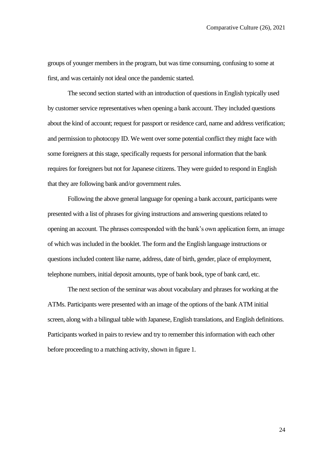groups of younger members in the program, but was time consuming, confusing to some at first, and was certainly not ideal once the pandemic started.

The second section started with an introduction of questions in English typically used by customer service representatives when opening a bank account. They included questions about the kind of account; request for passport or residence card, name and address verification; and permission to photocopy ID. We went over some potential conflict they might face with some foreigners at this stage, specifically requests for personal information that the bank requires for foreigners but not for Japanese citizens. They were guided to respond in English that they are following bank and/or government rules.

Following the above general language for opening a bank account, participants were presented with a list of phrases for giving instructions and answering questions related to opening an account. The phrases corresponded with the bank's own application form, an image of which was included in the booklet. The form and the English language instructions or questions included content like name, address, date of birth, gender, place of employment, telephone numbers, initial deposit amounts, type of bank book, type of bank card, etc.

The next section of the seminar was about vocabulary and phrases for working at the ATMs. Participants were presented with an image of the options of the bank ATM initial screen, along with a bilingual table with Japanese, English translations, and English definitions. Participants worked in pairs to review and try to remember this information with each other before proceeding to a matching activity, shown in figure 1.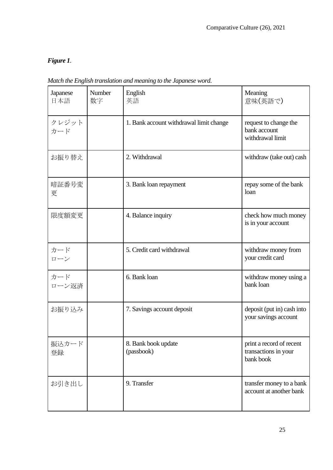## *Figure 1.*

| Japanese<br>日本語 | Number<br>数字 | English<br>英語                           | Meaning<br>意味(英語で)                                            |
|-----------------|--------------|-----------------------------------------|---------------------------------------------------------------|
| クレジット<br>カード    |              | 1. Bank account withdrawal limit change | request to change the<br>bank account<br>withdrawal limit     |
| お振り替え           |              | 2. Withdrawal                           | withdraw (take out) cash                                      |
| 暗証番号変<br>更      |              | 3. Bank loan repayment                  | repay some of the bank<br>loan                                |
| 限度額変更           |              | 4. Balance inquiry                      | check how much money<br>is in your account                    |
| カード<br>ローン      |              | 5. Credit card withdrawal               | withdraw money from<br>your credit card                       |
| カード<br>ローン返済    |              | 6. Bank loan                            | withdraw money using a<br>bank loan                           |
| お振り込み           |              | 7. Savings account deposit              | deposit (put in) cash into<br>your savings account            |
| 振込カード<br>登録     |              | 8. Bank book update<br>(passbook)       | print a record of recent<br>transactions in your<br>bank book |
| お引き出し           |              | 9. Transfer                             | transfer money to a bank<br>account at another bank           |

*Match the English translation and meaning to the Japanese word.*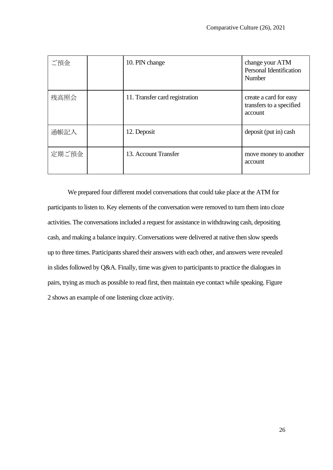| ご預金   | 10. PIN change                 | change your ATM<br>Personal Identification<br><b>Number</b>   |
|-------|--------------------------------|---------------------------------------------------------------|
| 残高照会  | 11. Transfer card registration | create a card for easy<br>transfers to a specified<br>account |
| 通帳記入  | 12. Deposit                    | deposit (put in) cash                                         |
| 定期ご預金 | 13. Account Transfer           | move money to another<br>account                              |

We prepared four different model conversations that could take place at the ATM for participants to listen to. Key elements of the conversation were removed to turn them into cloze activities. The conversations included a request for assistance in withdrawing cash, depositing cash, and making a balance inquiry. Conversations were delivered at native then slow speeds up to three times. Participants shared their answers with each other, and answers were revealed in slides followed by Q&A. Finally, time was given to participants to practice the dialogues in pairs, trying as much as possible to read first, then maintain eye contact while speaking. Figure 2 shows an example of one listening cloze activity.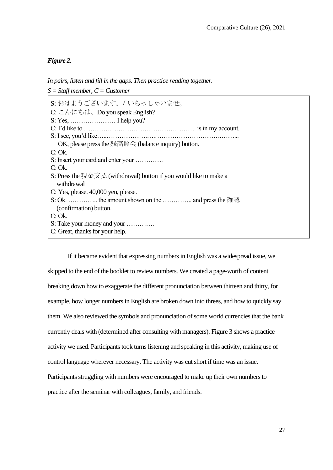#### *Figure 2.*

*S = Staff member, C = Customer* S: おはようございます。/ いらっしゃいませ。 C: こんにちは。Do you speak English? S: Yes, ………………… I help you? C: I'd like to ……………………………………………. is in my account. S: I see, you'd like…..……………….….………………………….……... OK, please press the 残高照会 (balance inquiry) button. C: Ok. S: Insert your card and enter your …………. C: Ok. S: Press the 現金支払 (withdrawal) button if you would like to make a withdrawal C: Yes, please. 40,000 yen, please. S: Ok. ………….. the amount shown on the ………….. and press the 確認 (confirmation) button. C: Ok. S: Take your money and your …………. C: Great, thanks for your help.

*In pairs, listen and fill in the gaps. Then practice reading together.*

If it became evident that expressing numbers in English was a widespread issue, we skipped to the end of the booklet to review numbers. We created a page-worth of content breaking down how to exaggerate the different pronunciation between thirteen and thirty, for example, how longer numbers in English are broken down into threes, and how to quickly say them. We also reviewed the symbols and pronunciation of some world currencies that the bank currently deals with (determined after consulting with managers). Figure 3 shows a practice activity we used. Participants took turns listening and speaking in this activity, making use of control language wherever necessary. The activity was cut short if time was an issue. Participants struggling with numbers were encouraged to make up their own numbers to practice after the seminar with colleagues, family, and friends.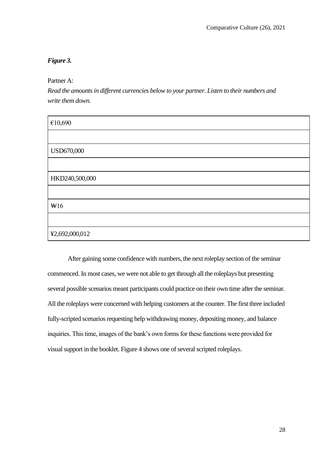#### *Figure 3.*

Partner A:

*Read the amounts in different currencies below to your partner. Listen to their numbers and write them down.*

| $\mathcal{E}10,\!690$ |  |
|-----------------------|--|
|                       |  |
| USD670,000            |  |
|                       |  |
| HKD240,500,000        |  |
|                       |  |
| $\text{W16}$          |  |
|                       |  |
| ¥2,692,000,012        |  |

After gaining some confidence with numbers, the next roleplay section of the seminar commenced. In most cases, we were not able to get through all the roleplays but presenting several possible scenarios meant participants could practice on their own time after the seminar. All the roleplays were concerned with helping customers at the counter. The first three included fully-scripted scenarios requesting help withdrawing money, depositing money, and balance inquiries. This time, images of the bank's own forms for these functions were provided for visual support in the booklet. Figure 4 shows one of several scripted roleplays.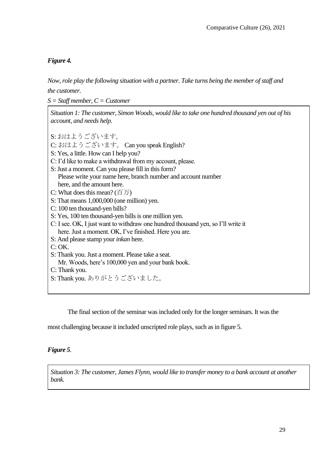#### *Figure 4.*

*Now, role play the following situation with a partner. Take turns being the member of staff and the customer.*

*S = Staff member, C = Customer*

*Situation 1: The customer, Simon Woods, would like to take one hundred thousand yen out of his account, and needs help.*

S: おはようございます。

C: おはようございます。 Can you speak English?

S: Yes, a little. How can I help you?

- C: I'd like to make a withdrawal from my account, please.
- S: Just a moment. Can you please fill in this form? Please write your name here, branch number and account number here, and the amount here.
- C: What does this mean? (百万)
- S: That means 1,000,000 (one million) yen.
- C: 100 ten thousand-yen bills?

S: Yes, 100 ten thousand-yen bills is one million yen.

- C: I see. OK, I just want to withdraw one hundred thousand yen, so I'll write it here. Just a moment. OK, I've finished. Here you are.
- S: And please stamp your *inkan* here.
- C: OK.

S: Thank you. Just a moment. Please take a seat.

- Mr. Woods, here's 100,000 yen and your bank book.
- C: Thank you.
- S: Thank you. ありがとうございました。

The final section of the seminar was included only for the longer seminars. It was the

most challenging because it included unscripted role plays, such as in figure 5.

#### *Figure 5.*

*Situation 3: The customer, James Flynn, would like to transfer money to a bank account at another bank.*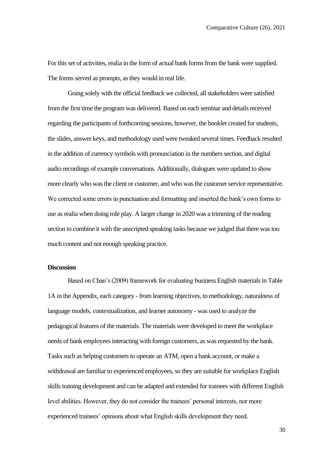For this set of activities, realia in the form of actual bank forms from the bank were supplied. The forms served as prompts, as they would in real life.

Going solely with the official feedback we collected, all stakeholders were satisfied from the first time the program was delivered. Based on each seminar and details received regarding the participants of forthcoming sessions, however, the booklet created for students, the slides, answer keys, and methodology used were tweaked several times. Feedback resulted in the addition of currency symbols with pronunciation in the numbers section, and digital audio recordings of example conversations. Additionally, dialogues were updated to show more clearly who was the client or customer, and who was the customer service representative. We corrected some errors in punctuation and formatting and inserted the bank's own forms to use as realia when doing role play. A larger change in 2020 was a trimming of the reading section to combine it with the unscripted speaking tasks because we judged that there was too much content and not enough speaking practice.

#### **Discussion**

Based on Chan's (2009) framework for evaluating business English materials in Table 1A in the Appendix, each category - from learning objectives, to methodology, naturalness of language models, contextualization, and learner autonomy - was used to analyze the pedagogical features of the materials. The materials were developed to meet the workplace needs of bank employees interacting with foreign customers, as was requested by the bank. Tasks such as helping customers to operate an ATM, open a bank account, or make a withdrawal are familiar to experienced employees, so they are suitable for workplace English skills training development and can be adapted and extended for trainees with different English level abilities. However, they do not consider the trainees' personal interests, nor more experienced trainees' opinions about what English skills development they need.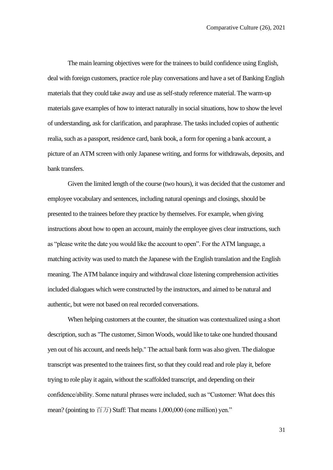The main learning objectives were for the trainees to build confidence using English, deal with foreign customers, practice role play conversations and have a set of Banking English materials that they could take away and use as self-study reference material. The warm-up materials gave examples of how to interact naturally in social situations, how to show the level of understanding, ask for clarification, and paraphrase. The tasks included copies of authentic realia, such as a passport, residence card, bank book, a form for opening a bank account, a picture of an ATM screen with only Japanese writing, and forms for withdrawals, deposits, and bank transfers.

Given the limited length of the course (two hours), it was decided that the customer and employee vocabulary and sentences, including natural openings and closings, should be presented to the trainees before they practice by themselves. For example, when giving instructions about how to open an account, mainly the employee gives clear instructions, such as "please write the date you would like the account to open". For the ATM language, a matching activity was used to match the Japanese with the English translation and the English meaning. The ATM balance inquiry and withdrawal cloze listening comprehension activities included dialogues which were constructed by the instructors, and aimed to be natural and authentic, but were not based on real recorded conversations.

When helping customers at the counter, the situation was contextualized using a short description, such as "The customer, Simon Woods, would like to take one hundred thousand yen out of his account, and needs help." The actual bank form was also given. The dialogue transcript was presented to the trainees first, so that they could read and role play it, before trying to role play it again, without the scaffolded transcript, and depending on their confidence/ability. Some natural phrases were included, such as "Customer: What does this mean? (pointing to  $\overline{f}(\overline{x})$  Staff: That means 1,000,000 (one million) yen."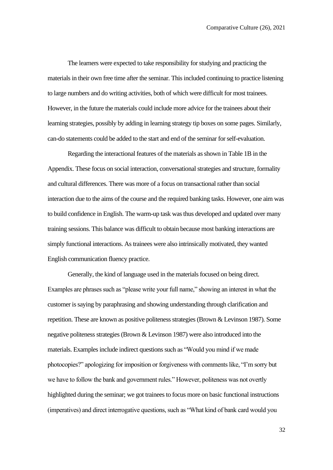The learners were expected to take responsibility for studying and practicing the materials in their own free time after the seminar. This included continuing to practice listening to large numbers and do writing activities, both of which were difficult for most trainees. However, in the future the materials could include more advice for the trainees about their learning strategies, possibly by adding in learning strategy tip boxes on some pages. Similarly, can-do statements could be added to the start and end of the seminar for self-evaluation.

Regarding the interactional features of the materials as shown in Table 1B in the Appendix. These focus on social interaction, conversational strategies and structure, formality and cultural differences. There was more of a focus on transactional rather than social interaction due to the aims of the course and the required banking tasks. However, one aim was to build confidence in English. The warm-up task was thus developed and updated over many training sessions. This balance was difficult to obtain because most banking interactions are simply functional interactions. As trainees were also intrinsically motivated, they wanted English communication fluency practice.

Generally, the kind of language used in the materials focused on being direct. Examples are phrases such as "please write your full name," showing an interest in what the customer is saying by paraphrasing and showing understanding through clarification and repetition. These are known as positive politeness strategies (Brown & Levinson 1987). Some negative politeness strategies (Brown & Levinson 1987) were also introduced into the materials. Examples include indirect questions such as "Would you mind if we made photocopies?" apologizing for imposition or forgiveness with comments like, "I'm sorry but we have to follow the bank and government rules." However, politeness was not overtly highlighted during the seminar; we got trainees to focus more on basic functional instructions (imperatives) and direct interrogative questions, such as "What kind of bank card would you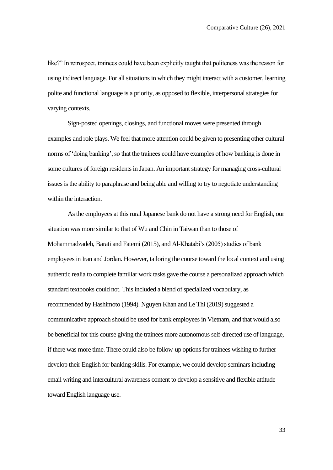like?" In retrospect, trainees could have been explicitly taught that politeness was the reason for using indirect language. For all situations in which they might interact with a customer, learning polite and functional language is a priority, as opposed to flexible, interpersonal strategies for varying contexts.

Sign-posted openings, closings, and functional moves were presented through examples and role plays. We feel that more attention could be given to presenting other cultural norms of 'doing banking', so that the trainees could have examples of how banking is done in some cultures of foreign residents in Japan. An important strategy for managing cross-cultural issues is the ability to paraphrase and being able and willing to try to negotiate understanding within the interaction.

As the employees at this rural Japanese bank do not have a strong need for English, our situation was more similar to that of Wu and Chin in Taiwan than to those of Mohammadzadeh, Barati and Fatemi (2015), and Al-Khatabi's (2005) studies of bank employees in Iran and Jordan. However, tailoring the course toward the local context and using authentic realia to complete familiar work tasks gave the course a personalized approach which standard textbooks could not. This included a blend of specialized vocabulary, as recommended by Hashimoto (1994). Nguyen Khan and Le Thi (2019) suggested a communicative approach should be used for bank employees in Vietnam, and that would also be beneficial for this course giving the trainees more autonomous self-directed use of language, if there was more time. There could also be follow-up options for trainees wishing to further develop their English for banking skills. For example, we could develop seminars including email writing and intercultural awareness content to develop a sensitive and flexible attitude toward English language use.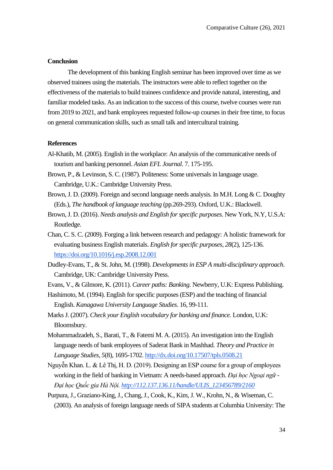#### **Conclusion**

The development of this banking English seminar has been improved over time as we observed trainees using the materials. The instructors were able to reflect together on the effectiveness of the materials to build trainees confidence and provide natural, interesting, and familiar modeled tasks. As an indication to the success of this course, twelve courses were run from 2019 to 2021, and bank employees requested follow-up courses in their free time, to focus on general communication skills, such as small talk and intercultural training.

#### **References**

- Al-Khatib, M. (2005). English in the workplace: An analysis of the communicative needs of tourism and banking personnel. *Asian EFL Journal.* 7. 175-195.
- Brown, P., & Levinson, S. C. (1987). Politeness: Some universals in language usage. Cambridge, U.K.: Cambridge University Press.
- Brown, J. D. (2009). Foreign and second language needs analysis. In M.H. Long & C. Doughty (Eds.), *The handbook of language teaching* (pp.269-293). Oxford, U.K.: Blackwell.
- Brown, J. D. (2016). *Needs analysis and English for specific purposes.* New York, N.Y, U.S.A: Routledge.
- Chan, C. S. C. (2009). Forging a link between research and pedagogy: A holistic framework for evaluating business English materials. *English for specific purposes*, *28*(2), 125-13[6.](https://doi.org/10.1016/j.esp.2008.12.001) <https://doi.org/10.1016/j.esp.2008.12.001>
- Dudley-Evans, T., & St. John, M. (1998). *Developments in ESP A multi-disciplinary approach*. Cambridge, UK: Cambridge University Press.
- Evans, V., & Gilmore, K. (2011). *Career paths: Banking.* Newberry, U.K: Express Publishing.
- Hashimoto, M. (1994). English for specific purposes (ESP) and the teaching of financial English. *Kanagawa University Language Studies*. 16, 99-111.
- Marks J. (2007). *Check your English vocabulary for banking and finance.* London, U.K: Bloomsbury.
- Mohammadzadeh, S., Barati, T., & Fatemi M. A. (2015). An investigation into the English language needs of bank employees of Saderat Bank in Mashhad. *Theory and Practice in Language Studies, 5*(8), 1695-1702[. http://dx.doi.org/10.17507/tpls.0508.21](http://dx.doi.org/10.17507/tpls.0508.21)
- Nguyễn Khan. L. & Lê Thị, H. D. (2019). Designing an ESP course for a group of employees working in the field of banking in Vietnam: A needs-based approach. *Đại học Ngoại ngữ - Đại học Quốc gia Hà Nội. [http://112.137.136.11/handle/ULIS\\_123456789/2160](http://112.137.136.11/handle/ULIS_123456789/2160)*
- Purpura, J., Graziano-King, J., Chang, J., Cook, K., Kim, J. W., Krohn, N., & Wiseman, C. (2003). An analysis of foreign language needs of SIPA students at Columbia University: The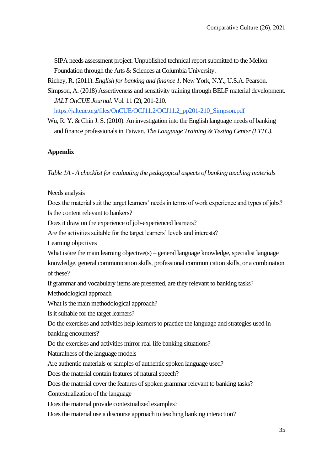SIPA needs assessment project. Unpublished technical report submitted to the Mellon Foundation through the Arts & Sciences at Columbia University.

Richey, R. (2011). *English for banking and finance 1.* New York, N.Y., U.S.A. Pearson.

Simpson, A. (2018) Assertiveness and sensitivity training through BELF material development. *JALT OnCUE Journal.* Vol. 11 (2), 201-21[0.](https://jaltcue.org/files/OnCUE/OCJ11.2/OCJ11.2_pp201-210_Simpson.pdf)

[https://jaltcue.org/files/OnCUE/OCJ11.2/OCJ11.2\\_pp201-210\\_Simpson.pdf](https://jaltcue.org/files/OnCUE/OCJ11.2/OCJ11.2_pp201-210_Simpson.pdf)

Wu, R. Y. & Chin J. S. (2010). An investigation into the English language needs of banking and finance professionals in Taiwan. *The Language Training & Testing Center (LTTC)*.

## **Appendix**

*Table 1A - A checklist for evaluating the pedagogical aspects of banking teaching materials* 

Needs analysis

Does the material suit the target learners' needs in terms of work experience and types of jobs? Is the content relevant to bankers?

Does it draw on the experience of job-experienced learners?

Are the activities suitable for the target learners' levels and interests?

Learning objectives

What is/are the main learning objective(s) – general language knowledge, specialist language knowledge, general communication skills, professional communication skills, or a combination of these?

If grammar and vocabulary items are presented, are they relevant to banking tasks?

Methodological approach

What is the main methodological approach?

Is it suitable for the target learners?

Do the exercises and activities help learners to practice the language and strategies used in banking encounters?

Do the exercises and activities mirror real-life banking situations?

Naturalness of the language models

Are authentic materials or samples of authentic spoken language used?

Does the material contain features of natural speech?

Does the material cover the features of spoken grammar relevant to banking tasks?

Contextualization of the language

Does the material provide contextualized examples?

Does the material use a discourse approach to teaching banking interaction?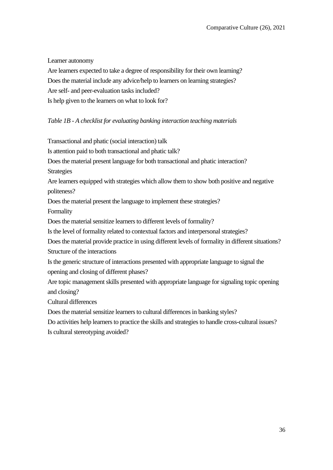Learner autonomy

Are learners expected to take a degree of responsibility for their own learning? Does the material include any advice/help to learners on learning strategies? Are self- and peer-evaluation tasks included? Is help given to the learners on what to look for?

## *Table 1B - A checklist for evaluating banking interaction teaching materials*

Transactional and phatic (social interaction) talk Is attention paid to both transactional and phatic talk? Does the material present language for both transactional and phatic interaction? **Strategies** Are learners equipped with strategies which allow them to show both positive and negative politeness? Does the material present the language to implement these strategies? Formality Does the material sensitize learners to different levels of formality? Is the level of formality related to contextual factors and interpersonal strategies? Does the material provide practice in using different levels of formality in different situations? Structure of the interactions Is the generic structure of interactions presented with appropriate language to signal the opening and closing of different phases? Are topic management skills presented with appropriate language for signaling topic opening and closing? Cultural differences Does the material sensitize learners to cultural differences in banking styles? Do activities help learners to practice the skills and strategies to handle cross-cultural issues? Is cultural stereotyping avoided?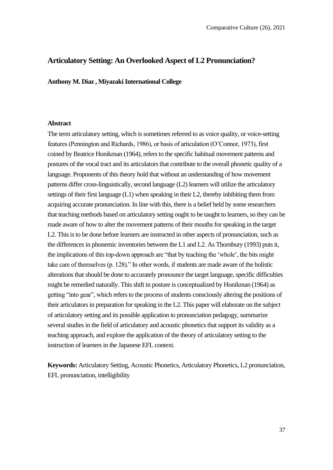## **Articulatory Setting: An Overlooked Aspect of L2 Pronunciation?**

**Anthony M. Diaz , Miyazaki International College**

#### **Abstract**

The term articulatory setting, which is sometimes referred to as voice quality, or voice-setting features (Pennington and Richards, 1986), or basis of articulation (O'Connor, 1973), first coined by Beatrice Honikman (1964), refers to the specific habitual movement patterns and postures of the vocal tract and its articulators that contribute to the overall phonetic quality of a language. Proponents of this theory hold that without an understanding of how movement patterns differ cross-linguistically, second language (L2) learners will utilize the articulatory settings of their first language  $(L1)$  when speaking in their L2, thereby inhibiting them from acquiring accurate pronunciation. In line with this, there is a belief held by some researchers that teaching methods based on articulatory setting ought to be taught to learners, so they can be made aware of how to alter the movement patterns of their mouths for speaking in the target L2. This is to be done before learners are instructed in other aspects of pronunciation, such as the differences in phonemic inventories between the L1 and L2. As Thornbury (1993) puts it, the implications of this top-down approach are "that by teaching the 'whole', the bits might take care of themselves (p. 128)." In other words, if students are made aware of the holistic alterations that should be done to accurately pronounce the target language, specific difficulties might be remedied naturally. This shift in posture is conceptualized by Honikman (1964) as getting "into gear", which refers to the process of students consciously altering the positions of their articulators in preparation for speaking in the L2. This paper will elaborate on the subject of articulatory setting and its possible application to pronunciation pedagogy, summarize several studies in the field of articulatory and acoustic phonetics that support its validity as a teaching approach, and explore the application of the theory of articulatory setting to the instruction of learners in the Japanese EFL context.

**Keywords:** Articulatory Setting, Acoustic Phonetics, Articulatory Phonetics, L2 pronunciation, EFL pronunciation, intelligibility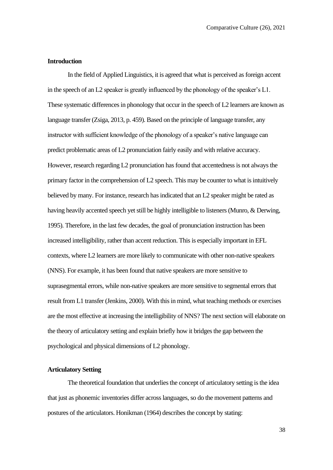#### **Introduction**

In the field of Applied Linguistics, it is agreed that what is perceived as foreign accent in the speech of an L2 speaker is greatly influenced by the phonology of the speaker's L1. These systematic differences in phonology that occur in the speech of L2 learners are known as language transfer (Zsiga, 2013, p. 459). Based on the principle of language transfer, any instructor with sufficient knowledge of the phonology of a speaker's native language can predict problematic areas of L2 pronunciation fairly easily and with relative accuracy. However, research regarding L2 pronunciation has found that accentedness is not always the primary factor in the comprehension of L2 speech. This may be counter to what is intuitively believed by many. For instance, research has indicated that an L2 speaker might be rated as having heavily accented speech yet still be highly intelligible to listeners (Munro, & Derwing, 1995). Therefore, in the last few decades, the goal of pronunciation instruction has been increased intelligibility, rather than accent reduction. This is especially important in EFL contexts, where L2 learners are more likely to communicate with other non-native speakers (NNS). For example, it has been found that native speakers are more sensitive to suprasegmental errors, while non-native speakers are more sensitive to segmental errors that result from L1 transfer (Jenkins, 2000). With this in mind, what teaching methods or exercises are the most effective at increasing the intelligibility of NNS? The next section will elaborate on the theory of articulatory setting and explain briefly how it bridges the gap between the psychological and physical dimensions of L2 phonology.

#### **Articulatory Setting**

The theoretical foundation that underlies the concept of articulatory setting is the idea that just as phonemic inventories differ across languages, so do the movement patterns and postures of the articulators. Honikman (1964) describes the concept by stating: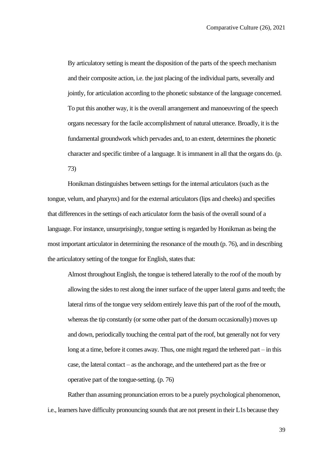By articulatory setting is meant the disposition of the parts of the speech mechanism and their composite action, i.e. the just placing of the individual parts, severally and jointly, for articulation according to the phonetic substance of the language concerned. To put this another way, it is the overall arrangement and manoeuvring of the speech organs necessary for the facile accomplishment of natural utterance. Broadly, it is the fundamental groundwork which pervades and, to an extent, determines the phonetic character and specific timbre of a language. It is immanent in all that the organs do. (p. 73)

Honikman distinguishes between settings for the internal articulators (such as the tongue, velum, and pharynx) and for the external articulators (lips and cheeks) and specifies that differences in the settings of each articulator form the basis of the overall sound of a language. For instance, unsurprisingly, tongue setting is regarded by Honikman as being the most important articulator in determining the resonance of the mouth (p. 76), and in describing the articulatory setting of the tongue for English, states that:

Almost throughout English, the tongue is tethered laterally to the roof of the mouth by allowing the sides to rest along the inner surface of the upper lateral gums and teeth; the lateral rims of the tongue very seldom entirely leave this part of the roof of the mouth, whereas the tip constantly (or some other part of the dorsum occasionally) moves up and down, periodically touching the central part of the roof, but generally not for very long at a time, before it comes away. Thus, one might regard the tethered part – in this case, the lateral contact – as the anchorage, and the untethered part as the free or operative part of the tongue-setting. (p. 76)

Rather than assuming pronunciation errors to be a purely psychological phenomenon, i.e., learners have difficulty pronouncing sounds that are not present in their L1s because they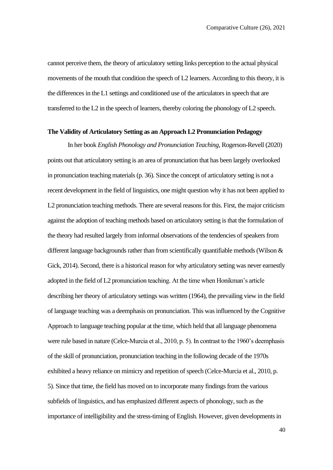cannot perceive them, the theory of articulatory setting links perception to the actual physical movements of the mouth that condition the speech of L2 learners. According to this theory, it is the differences in the L1 settings and conditioned use of the articulators in speech that are transferred to the L2 in the speech of learners, thereby coloring the phonology of L2 speech.

## **The Validity of Articulatory Setting as an Approach L2 Pronunciation Pedagogy**

In her book *English Phonology and Pronunciation Teaching*, Rogerson-Revell (2020) points out that articulatory setting is an area of pronunciation that has been largely overlooked in pronunciation teaching materials (p. 36). Since the concept of articulatory setting is not a recent development in the field of linguistics, one might question why it has not been applied to L2 pronunciation teaching methods. There are several reasons for this. First, the major criticism against the adoption of teaching methods based on articulatory setting is that the formulation of the theory had resulted largely from informal observations of the tendencies of speakers from different language backgrounds rather than from scientifically quantifiable methods (Wilson & Gick, 2014). Second, there is a historical reason for why articulatory setting was never earnestly adopted in the field of L2 pronunciation teaching. At the time when Honikman's article describing her theory of articulatory settings was written (1964), the prevailing view in the field of language teaching was a deemphasis on pronunciation. This was influenced by the Cognitive Approach to language teaching popular at the time, which held that all language phenomena were rule based in nature (Celce-Murcia et al., 2010, p. 5). In contrast to the 1960's deemphasis of the skill of pronunciation, pronunciation teaching in the following decade of the 1970s exhibited a heavy reliance on mimicry and repetition of speech (Celce-Murcia et al., 2010, p. 5). Since that time, the field has moved on to incorporate many findings from the various subfields of linguistics, and has emphasized different aspects of phonology, such as the importance of intelligibility and the stress-timing of English. However, given developments in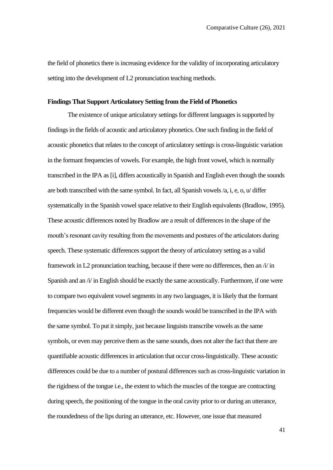the field of phonetics there is increasing evidence for the validity of incorporating articulatory setting into the development of L2 pronunciation teaching methods.

### **Findings That Support Articulatory Setting from the Field of Phonetics**

The existence of unique articulatory settings for different languages is supported by findings in the fields of acoustic and articulatory phonetics. One such finding in the field of acoustic phonetics that relates to the concept of articulatory settings is cross-linguistic variation in the formant frequencies of vowels. For example, the high front vowel, which is normally transcribed in the IPA as [i], differs acoustically in Spanish and English even though the sounds are both transcribed with the same symbol. In fact, all Spanish vowels /a, i, e, o, u/ differ systematically in the Spanish vowel space relative to their English equivalents (Bradlow, 1995). These acoustic differences noted by Bradlow are a result of differences in the shape of the mouth's resonant cavity resulting from the movements and postures of the articulators during speech. These systematic differences support the theory of articulatory setting as a valid framework in L2 pronunciation teaching, because if there were no differences, then an  $\pi i$  in Spanish and an /i/ in English should be exactly the same acoustically. Furthermore, if one were to compare two equivalent vowel segments in any two languages, it is likely that the formant frequencies would be different even though the sounds would be transcribed in the IPA with the same symbol. To put it simply, just because linguists transcribe vowels as the same symbols, or even may perceive them as the same sounds, does not alter the fact that there are quantifiable acoustic differences in articulation that occur cross-linguistically. These acoustic differences could be due to a number of postural differences such as cross-linguistic variation in the rigidness of the tongue i.e., the extent to which the muscles of the tongue are contracting during speech, the positioning of the tongue in the oral cavity prior to or during an utterance, the roundedness of the lips during an utterance, etc. However, one issue that measured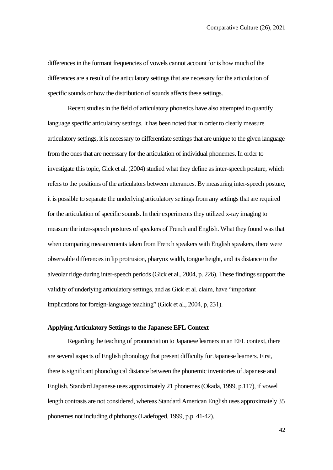differences in the formant frequencies of vowels cannot account for is how much of the differences are a result of the articulatory settings that are necessary for the articulation of specific sounds or how the distribution of sounds affects these settings.

Recent studies in the field of articulatory phonetics have also attempted to quantify language specific articulatory settings. It has been noted that in order to clearly measure articulatory settings, it is necessary to differentiate settings that are unique to the given language from the ones that are necessary for the articulation of individual phonemes. In order to investigate this topic, Gick et al. (2004) studied what they define as inter-speech posture, which refers to the positions of the articulators between utterances. By measuring inter-speech posture, it is possible to separate the underlying articulatory settings from any settings that are required for the articulation of specific sounds. In their experiments they utilized x-ray imaging to measure the inter-speech postures of speakers of French and English. What they found was that when comparing measurements taken from French speakers with English speakers, there were observable differences in lip protrusion, pharynx width, tongue height, and its distance to the alveolar ridge during inter-speech periods (Gick et al., 2004, p. 226). These findings support the validity of underlying articulatory settings, and as Gick et al. claim, have "important implications for foreign-language teaching" (Gick et al., 2004, p, 231).

## **Applying Articulatory Settings to the Japanese EFL Context**

Regarding the teaching of pronunciation to Japanese learners in an EFL context, there are several aspects of English phonology that present difficulty for Japanese learners. First, there is significant phonological distance between the phonemic inventories of Japanese and English. Standard Japanese uses approximately 21 phonemes (Okada, 1999, p.117), if vowel length contrasts are not considered, whereas Standard American English uses approximately 35 phonemes not including diphthongs (Ladefoged, 1999, p.p. 41-42).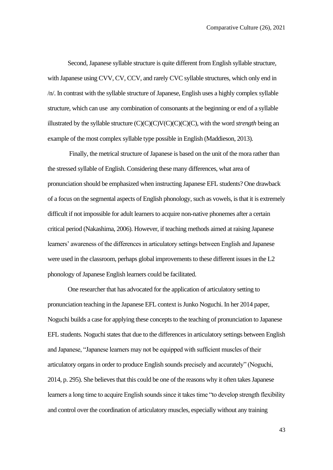Second, Japanese syllable structure is quite different from English syllable structure, with Japanese using CVV, CV, CCV, and rarely CVC syllable structures, which only end in /n/. In contrast with the syllable structure of Japanese, English uses a highly complex syllable structure, which can use any combination of consonants at the beginning or end of a syllable illustrated by the syllable structure (C)(C)(C)V(C)(C)(C)(C), with the word *strength* being an example of the most complex syllable type possible in English (Maddieson, 2013).

Finally, the metrical structure of Japanese is based on the unit of the mora rather than the stressed syllable of English. Considering these many differences, what area of pronunciation should be emphasized when instructing Japanese EFL students? One drawback of a focus on the segmental aspects of English phonology, such as vowels, is that it is extremely difficult if not impossible for adult learners to acquire non-native phonemes after a certain critical period (Nakashima, 2006). However, if teaching methods aimed at raising Japanese learners' awareness of the differences in articulatory settings between English and Japanese were used in the classroom, perhaps global improvements to these different issues in the L2 phonology of Japanese English learners could be facilitated.

One researcher that has advocated for the application of articulatory setting to pronunciation teaching in the Japanese EFL context is Junko Noguchi. In her 2014 paper, Noguchi builds a case for applying these concepts to the teaching of pronunciation to Japanese EFL students. Noguchi states that due to the differences in articulatory settings between English and Japanese, "Japanese learners may not be equipped with sufficient muscles of their articulatory organs in order to produce English sounds precisely and accurately" (Noguchi, 2014, p. 295). She believes that this could be one of the reasons why it often takes Japanese learners a long time to acquire English sounds since it takes time "to develop strength flexibility and control over the coordination of articulatory muscles, especially without any training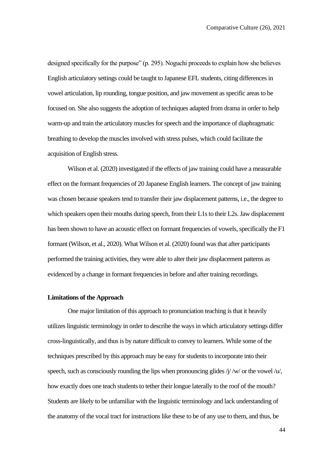designed specifically for the purpose" (p. 295). Noguchi proceeds to explain how she believes English articulatory settings could be taught to Japanese EFL students, citing differences in vowel articulation, lip rounding, tongue position, and jaw movement as specific areas to be focused on. She also suggests the adoption of techniques adapted from drama in order to help warm-up and train the articulatory muscles for speech and the importance of diaphragmatic breathing to develop the muscles involved with stress pulses, which could facilitate the acquisition of English stress.

Wilson et al. (2020) investigated if the effects of jaw training could have a measurable effect on the formant frequencies of 20 Japanese English learners. The concept of jaw training was chosen because speakers tend to transfer their jaw displacement patterns, i.e., the degree to which speakers open their mouths during speech, from their L1s to their L2s. Jaw displacement has been shown to have an acoustic effect on formant frequencies of vowels, specifically the F1 formant (Wilson, et al., 2020). What Wilson et al. (2020) found was that after participants performed the training activities, they were able to alter their jaw displacement patterns as evidenced by a change in formant frequencies in before and after training recordings.

#### **Limitations of the Approach**

One major limitation of this approach to pronunciation teaching is that it heavily utilizes linguistic terminology in order to describe the ways in which articulatory settings differ cross-linguistically, and thus is by nature difficult to convey to learners. While some of the techniques prescribed by this approach may be easy for students to incorporate into their speech, such as consciously rounding the lips when pronouncing glides  $/j/\sqrt{w}$  or the vowel  $/u'$ , how exactly does one teach students to tether their longue laterally to the roof of the mouth? Students are likely to be unfamiliar with the linguistic terminology and lack understanding of the anatomy of the vocal tract for instructions like these to be of any use to them, and thus, be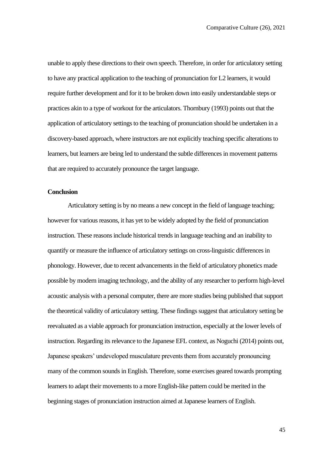unable to apply these directions to their own speech. Therefore, in order for articulatory setting to have any practical application to the teaching of pronunciation for L2 learners, it would require further development and for it to be broken down into easily understandable steps or practices akin to a type of workout for the articulators. Thornbury (1993) points out that the application of articulatory settings to the teaching of pronunciation should be undertaken in a discovery-based approach, where instructors are not explicitly teaching specific alterations to learners, but learners are being led to understand the subtle differences in movement patterns that are required to accurately pronounce the target language.

#### **Conclusion**

Articulatory setting is by no means a new concept in the field of language teaching; however for various reasons, it has yet to be widely adopted by the field of pronunciation instruction. These reasons include historical trends in language teaching and an inability to quantify or measure the influence of articulatory settings on cross-linguistic differences in phonology. However, due to recent advancements in the field of articulatory phonetics made possible by modern imaging technology, and the ability of any researcher to perform high-level acoustic analysis with a personal computer, there are more studies being published that support the theoretical validity of articulatory setting. These findings suggest that articulatory setting be reevaluated as a viable approach for pronunciation instruction, especially at the lower levels of instruction. Regarding its relevance to the Japanese EFL context, as Noguchi (2014) points out, Japanese speakers' undeveloped musculature prevents them from accurately pronouncing many of the common sounds in English. Therefore, some exercises geared towards prompting learners to adapt their movements to a more English-like pattern could be merited in the beginning stages of pronunciation instruction aimed at Japanese learners of English.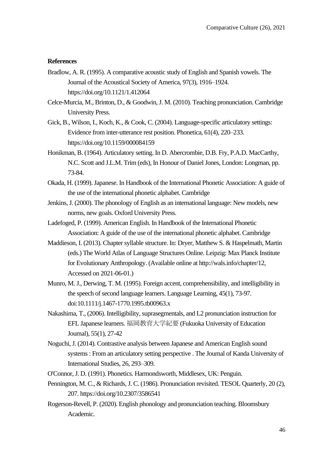#### **References**

- Bradlow, A. R. (1995). A comparative acoustic study of English and Spanish vowels. The Journal of the Acoustical Society of America, 97(3), 1916–1924. https://doi.org/10.1121/1.412064
- Celce-Murcia, M., Brinton, D., & Goodwin, J. M. (2010). Teaching pronunciation. Cambridge University Press.
- Gick, B., Wilson, I., Koch, K., & Cook, C. (2004). Language-specific articulatory settings: Evidence from inter-utterance rest position. Phonetica, 61(4), 220–233. https://doi.org/10.1159/000084159
- Honikman, B. (1964). Articulatory setting. In D. Abercrombie, D.B. Fry, P.A.D. MacCarthy, N.C. Scott and J.L.M. Trim (eds), In Honour of Daniel Jones, London: Longman, pp. 73-84.
- Okada, H. (1999). Japanese. In Handbook of the International Phonetic Association: A guide of the use of the international phonetic alphabet. Cambridge
- Jenkins, J. (2000). The phonology of English as an international language: New models, new norms, new goals. Oxford University Press.
- Ladefoged, P. (1999). American English. In Handbook of the International Phonetic Association: A guide of the use of the international phonetic alphabet. Cambridge
- Maddieson, I. (2013). Chapter syllable structure. In: Dryer, Matthew S. & Haspelmath, Martin (eds.) The World Atlas of Language Structures Online. Leipzig: Max Planck Institute for Evolutionary Anthropology. (Available online at http://wals.info/chapter/12, Accessed on 2021-06-01.)
- Munro, M. J., Derwing, T. M. (1995). Foreign accent, comprehensibility, and intelligibility in the speech of second language learners. Language Learning, 45(1), 73-97. doi:10.1111/j.1467-1770.1995.tb00963.x
- Nakashima, T., (2006). Intelligibility, suprasegmentals, and L2 pronunciation instruction for EFL Japanese learners. 福岡教育大学紀要 (Fukuoka University of Education Journal), 55(1), 27-42
- Noguchi, J. (2014). Contrastive analysis between Japanese and American English sound systems : From an articulatory setting perspective . The Journal of Kanda University of International Studies, 26, 293–309.
- O'Connor, J. D. (1991). Phonetics. Harmondsworth, Middlesex, UK: Penguin.
- Pennington, M. C., & Richards, J. C. (1986). Pronunciation revisited. TESOL Quarterly, 20 (2), 207. https://doi.org/10.2307/3586541
- Rogerson-Revell, P. (2020). English phonology and pronunciation teaching. Bloomsbury Academic.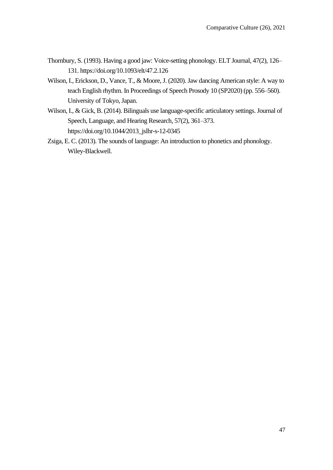- Thornbury, S. (1993). Having a good jaw: Voice-setting phonology. ELT Journal, 47(2), 126– 131. https://doi.org/10.1093/elt/47.2.126
- Wilson, I., Erickson, D., Vance, T., & Moore, J. (2020). Jaw dancing American style: A way to teach English rhythm. In Proceedings of Speech Prosody 10 (SP2020) (pp. 556–560). University of Tokyo, Japan.
- Wilson, I., & Gick, B. (2014). Bilinguals use language-specific articulatory settings. Journal of Speech, Language, and Hearing Research, 57(2), 361–373. https://doi.org/10.1044/2013\_jslhr-s-12-0345
- Zsiga, E. C. (2013). The sounds of language: An introduction to phonetics and phonology. Wiley-Blackwell.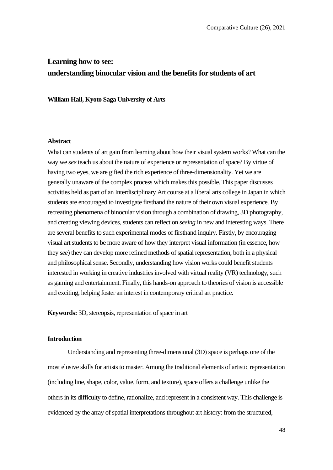# **Learning how to see: understanding binocular vision and the benefits for students of art**

**William Hall, Kyoto Saga University of Arts**

#### **Abstract**

What can students of art gain from learning about how their visual system works? What can the way we *see* teach us about the nature of experience or representation of space? By virtue of having two eyes, we are gifted the rich experience of three-dimensionality. Yet we are generally unaware of the complex process which makes this possible. This paper discusses activities held as part of an Interdisciplinary Art course at a liberal arts college in Japan in which students are encouraged to investigate firsthand the nature of their own visual experience. By recreating phenomena of binocular vision through a combination of drawing, 3D photography, and creating viewing devices, students can reflect on *seeing* in new and interesting ways. There are several benefits to such experimental modes of firsthand inquiry. Firstly, by encouraging visual art students to be more aware of how they interpret visual information (in essence, how they *see*) they can develop more refined methods of spatial representation, both in a physical and philosophical sense. Secondly, understanding how vision works could benefit students interested in working in creative industries involved with virtual reality (VR) technology, such as gaming and entertainment. Finally, this hands-on approach to theories of vision is accessible and exciting, helping foster an interest in contemporary critical art practice.

**Keywords:** 3D, stereopsis, representation of space in art

## **Introduction**

Understanding and representing three-dimensional (3D) space is perhaps one of the most elusive skills for artists to master. Among the traditional elements of artistic representation (including line, shape, color, value, form, and texture), space offers a challenge unlike the others in its difficulty to define, rationalize, and represent in a consistent way. This challenge is evidenced by the array of spatial interpretations throughout art history: from the structured,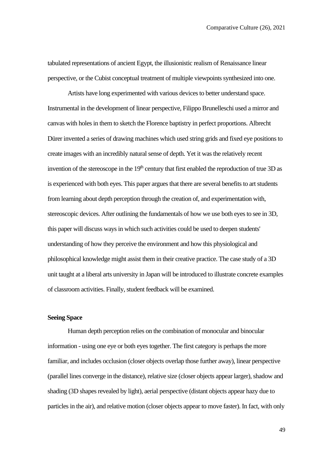tabulated representations of ancient Egypt, the illusionistic realism of Renaissance linear perspective, or the Cubist conceptual treatment of multiple viewpoints synthesized into one.

Artists have long experimented with various devices to better understand space. Instrumental in the development of linear perspective, Filippo Brunelleschi used a mirror and canvas with holes in them to sketch the Florence baptistry in perfect proportions. Albrecht Dürer invented a series of drawing machines which used string grids and fixed eye positions to create images with an incredibly natural sense of depth. Yet it was the relatively recent invention of the stereoscope in the  $19<sup>th</sup>$  century that first enabled the reproduction of true 3D as is experienced with both eyes. This paper argues that there are several benefits to art students from learning about depth perception through the creation of, and experimentation with, stereoscopic devices. After outlining the fundamentals of how we use both eyes to see in 3D, this paper will discuss ways in which such activities could be used to deepen students' understanding of how they perceive the environment and how this physiological and philosophical knowledge might assist them in their creative practice. The case study of a 3D unit taught at a liberal arts university in Japan will be introduced to illustrate concrete examples of classroom activities. Finally, student feedback will be examined.

#### **Seeing Space**

Human depth perception relies on the combination of monocular and binocular information - using one eye or both eyes together. The first category is perhaps the more familiar, and includes occlusion (closer objects overlap those further away), linear perspective (parallel lines converge in the distance), relative size (closer objects appear larger), shadow and shading (3D shapes revealed by light), aerial perspective (distant objects appear hazy due to particles in the air), and relative motion (closer objects appear to move faster). In fact, with only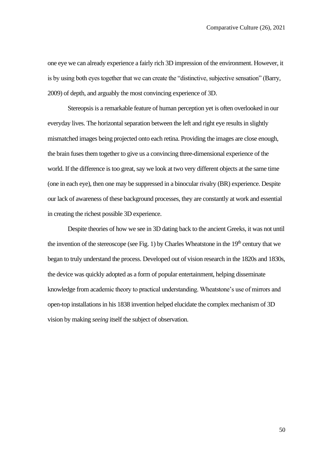one eye we can already experience a fairly rich 3D impression of the environment. However, it is by using both eyes together that we can create the "distinctive, subjective sensation" (Barry, 2009) of depth, and arguably the most convincing experience of 3D.

Stereopsis is a remarkable feature of human perception yet is often overlooked in our everyday lives. The horizontal separation between the left and right eye results in slightly mismatched images being projected onto each retina. Providing the images are close enough, the brain fuses them together to give us a convincing three-dimensional experience of the world. If the difference is too great, say we look at two very different objects at the same time (one in each eye), then one may be suppressed in a binocular rivalry (BR) experience. Despite our lack of awareness of these background processes, they are constantly at work and essential in creating the richest possible 3D experience.

Despite theories of how we see in 3D dating back to the ancient Greeks, it was not until the invention of the stereoscope (see Fig. 1) by Charles Wheatstone in the  $19<sup>th</sup>$  century that we began to truly understand the process. Developed out of vision research in the 1820s and 1830s, the device was quickly adopted as a form of popular entertainment, helping disseminate knowledge from academic theory to practical understanding. Wheatstone's use of mirrors and open-top installations in his 1838 invention helped elucidate the complex mechanism of 3D vision by making *seeing* itself the subject of observation.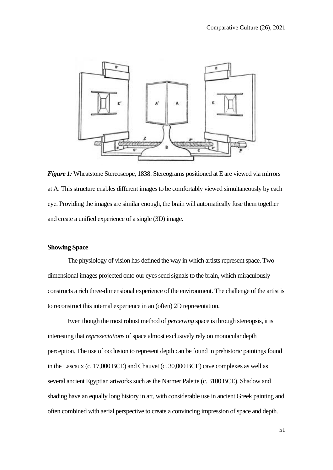

*Figure 1:* Wheatstone Stereoscope, 1838. Stereograms positioned at E are viewed via mirrors at A. This structure enables different images to be comfortably viewed simultaneously by each eye. Providing the images are similar enough, the brain will automatically fuse them together and create a unified experience of a single (3D) image.

## **Showing Space**

The physiology of vision has defined the way in which artists represent space. Twodimensional images projected onto our eyes send signals to the brain, which miraculously constructs a rich three-dimensional experience of the environment. The challenge of the artist is to reconstruct this internal experience in an (often) 2D representation.

Even though the most robust method of *perceiving* space is through stereopsis, it is interesting that *representations* of space almost exclusively rely on monocular depth perception. The use of occlusion to represent depth can be found in prehistoric paintings found in the Lascaux (c. 17,000 BCE) and Chauvet (c. 30,000 BCE) cave complexes as well as several ancient Egyptian artworks such as the Narmer Palette (c. 3100 BCE). Shadow and shading have an equally long history in art, with considerable use in ancient Greek painting and often combined with aerial perspective to create a convincing impression of space and depth.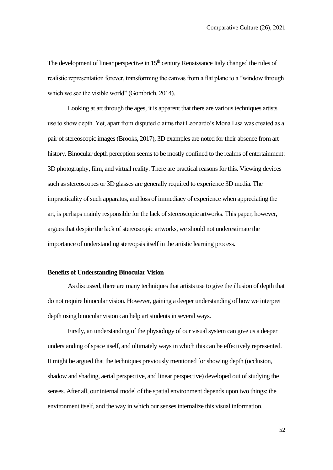The development of linear perspective in  $15<sup>th</sup>$  century Renaissance Italy changed the rules of realistic representation forever, transforming the canvas from a flat plane to a "window through which we see the visible world" (Gombrich, 2014).

Looking at art through the ages, it is apparent that there are various techniques artists use to show depth. Yet, apart from disputed claims that Leonardo's Mona Lisa was created as a pair of stereoscopic images (Brooks, 2017), 3D examples are noted for their absence from art history. Binocular depth perception seems to be mostly confined to the realms of entertainment: 3D photography, film, and virtual reality. There are practical reasons for this. Viewing devices such as stereoscopes or 3D glasses are generally required to experience 3D media. The impracticality of such apparatus, and loss of immediacy of experience when appreciating the art, is perhaps mainly responsible for the lack of stereoscopic artworks. This paper, however, argues that despite the lack of stereoscopic artworks, we should not underestimate the importance of understanding stereopsis itself in the artistic learning process.

## **Benefits of Understanding Binocular Vision**

As discussed, there are many techniques that artists use to give the illusion of depth that do not require binocular vision. However, gaining a deeper understanding of how we interpret depth using binocular vision can help art students in several ways.

Firstly, an understanding of the physiology of our visual system can give us a deeper understanding of space itself, and ultimately ways in which this can be effectively represented. It might be argued that the techniques previously mentioned for showing depth (occlusion, shadow and shading, aerial perspective, and linear perspective) developed out of studying the senses. After all, our internal model of the spatial environment depends upon two things: the environment itself, and the way in which our senses internalize this visual information.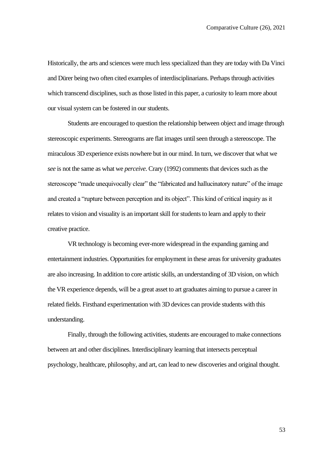Historically, the arts and sciences were much less specialized than they are today with Da Vinci and Dürer being two often cited examples of interdisciplinarians. Perhaps through activities which transcend disciplines, such as those listed in this paper, a curiosity to learn more about our visual system can be fostered in our students.

Students are encouraged to question the relationship between object and image through stereoscopic experiments. Stereograms are flat images until seen through a stereoscope. The miraculous 3D experience exists nowhere but in our mind. In turn, we discover that what we *see* is not the same as what we *perceive*. Crary (1992) comments that devices such as the stereoscope "made unequivocally clear" the "fabricated and hallucinatory nature" of the image and created a "rupture between perception and its object". This kind of critical inquiry as it relates to vision and visuality is an important skill for students to learn and apply to their creative practice.

VR technology is becoming ever-more widespread in the expanding gaming and entertainment industries. Opportunities for employment in these areas for university graduates are also increasing. In addition to core artistic skills, an understanding of 3D vision, on which the VR experience depends, will be a great asset to art graduates aiming to pursue a career in related fields. Firsthand experimentation with 3D devices can provide students with this understanding.

Finally, through the following activities, students are encouraged to make connections between art and other disciplines. Interdisciplinary learning that intersects perceptual psychology, healthcare, philosophy, and art, can lead to new discoveries and original thought.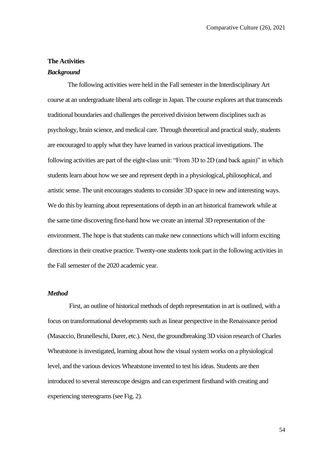#### **The Activities**

## *Background*

The following activities were held in the Fall semester in the Interdisciplinary Art course at an undergraduate liberal arts college in Japan. The course explores art that transcends traditional boundaries and challenges the perceived division between disciplines such as psychology, brain science, and medical care. Through theoretical and practical study, students are encouraged to apply what they have learned in various practical investigations. The following activities are part of the eight-class unit: "From 3D to 2D (and back again)" in which students learn about how we see and represent depth in a physiological, philosophical, and artistic sense. The unit encourages students to consider 3D space in new and interesting ways. We do this by learning about representations of depth in an art historical framework while at the same time discovering first-hand how we create an internal 3D representation of the environment. The hope is that students can make new connections which will inform exciting directions in their creative practice. Twenty-one students took part in the following activities in the Fall semester of the 2020 academic year.

#### *Method*

First, an outline of historical methods of depth representation in art is outlined, with a focus on transformational developments such as linear perspective in the Renaissance period (Masaccio, Brunelleschi, Durer, etc.). Next, the groundbreaking 3D vision research of Charles Wheatstone is investigated, learning about how the visual system works on a physiological level, and the various devices Wheatstone invented to test his ideas. Students are then introduced to several stereoscope designs and can experiment firsthand with creating and experiencing stereograms (see Fig. 2).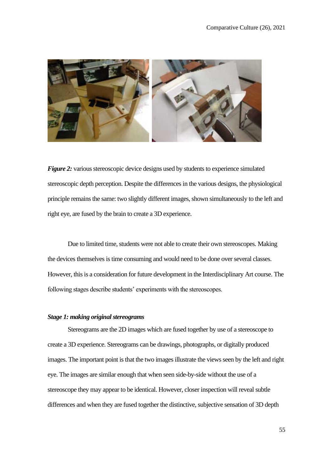

*Figure 2:* various stereoscopic device designs used by students to experience simulated stereoscopic depth perception. Despite the differences in the various designs, the physiological principle remains the same: two slightly different images, shown simultaneously to the left and right eye, are fused by the brain to create a 3D experience.

Due to limited time, students were not able to create their own stereoscopes. Making the devices themselves is time consuming and would need to be done over several classes. However, this is a consideration for future development in the Interdisciplinary Art course. The following stages describe students' experiments with the stereoscopes.

## *Stage 1: making original stereograms*

Stereograms are the 2D images which are fused together by use of a stereoscope to create a 3D experience. Stereograms can be drawings, photographs, or digitally produced images. The important point is that the two images illustrate the views seen by the left and right eye. The images are similar enough that when seen side-by-side without the use of a stereoscope they may appear to be identical. However, closer inspection will reveal subtle differences and when they are fused together the distinctive, subjective sensation of 3D depth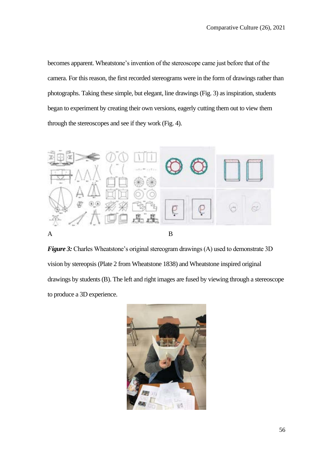becomes apparent. Wheatstone's invention of the stereoscope came just before that of the camera. For this reason, the first recorded stereograms were in the form of drawings rather than photographs. Taking these simple, but elegant, line drawings (Fig. 3) as inspiration, students began to experiment by creating their own versions, eagerly cutting them out to view them through the stereoscopes and see if they work (Fig. 4).



*Figure 3:* Charles Wheatstone's original stereogram drawings (A) used to demonstrate 3D vision by stereopsis (Plate 2 from Wheatstone 1838) and Wheatstone inspired original drawings by students (B). The left and right images are fused by viewing through a stereoscope to produce a 3D experience.

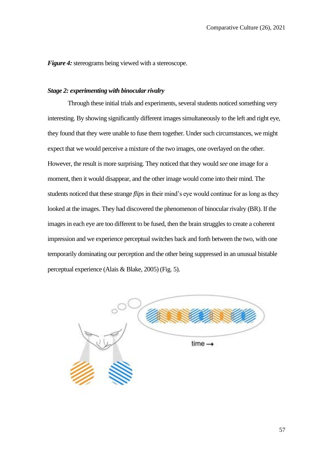*Figure 4:* stereograms being viewed with a stereoscope.

## *Stage 2: experimenting with binocular rivalry*

Through these initial trials and experiments, several students noticed something very interesting. By showing significantly different images simultaneously to the left and right eye, they found that they were unable to fuse them together. Under such circumstances, we might expect that we would perceive a mixture of the two images, one overlayed on the other. However, the result is more surprising. They noticed that they would *see* one image for a moment, then it would disappear, and the other image would come into their mind. The students noticed that these strange *flips* in their mind's eye would continue for as long as they looked at the images. They had discovered the phenomenon of binocular rivalry (BR). If the images in each eye are too different to be fused, then the brain struggles to create a coherent impression and we experience perceptual switches back and forth between the two, with one temporarily dominating our perception and the other being suppressed in an unusual bistable perceptual experience (Alais & Blake, 2005) (Fig. 5).

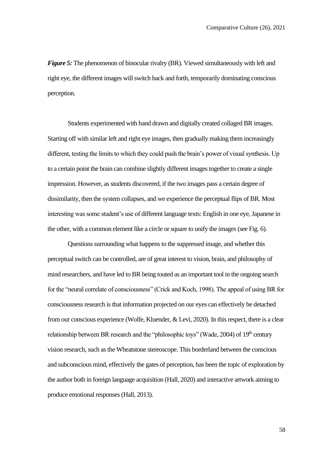*Figure 5:* The phenomenon of binocular rivalry (BR). Viewed simultaneously with left and right eye, the different images will switch back and forth, temporarily dominating conscious perception.

Students experimented with hand drawn and digitally created collaged BR images. Starting off with similar left and right eye images, then gradually making them increasingly different, testing the limits to which they could push the brain's power of visual synthesis. Up to a certain point the brain can combine slightly different images together to create a single impression. However, as students discovered, if the two images pass a certain degree of dissimilarity, then the system collapses, and we experience the perceptual flips of BR. Most interesting was some student's use of different language texts: English in one eye, Japanese in the other, with a common element like a circle or square to unify the images (see Fig. 6).

Questions surrounding what happens to the suppressed image, and whether this perceptual switch can be controlled, are of great interest to vision, brain, and philosophy of mind researchers, and have led to BR being touted as an important tool in the ongoing search for the "neural correlate of consciousness" (Crick and Koch, 1998). The appeal of using BR for consciousness research is that information projected on our eyes can effectively be detached from our conscious experience (Wolfe, Kluender, & Levi, 2020). In this respect, there is a clear relationship between BR research and the "philosophic toys" (Wade, 2004) of  $19<sup>th</sup>$  century vision research, such as the Wheatstone stereoscope. This borderland between the conscious and subconscious mind, effectively the gates of perception, has been the topic of exploration by the author both in foreign language acquisition (Hall, 2020) and interactive artwork aiming to produce emotional responses (Hall, 2013).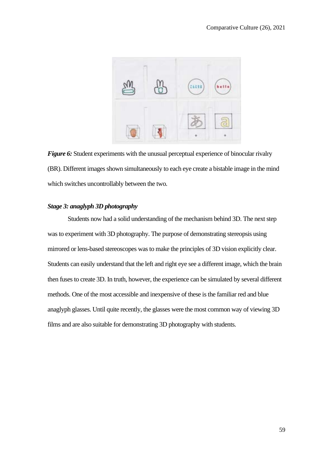

*Figure 6:* Student experiments with the unusual perceptual experience of binocular rivalry (BR). Different images shown simultaneously to each eye create a bistable image in the mind which switches uncontrollably between the two.

## *Stage 3: anaglyph 3D photography*

Students now had a solid understanding of the mechanism behind 3D. The next step was to experiment with 3D photography. The purpose of demonstrating stereopsis using mirrored or lens-based stereoscopes was to make the principles of 3D vision explicitly clear. Students can easily understand that the left and right eye see a different image, which the brain then fuses to create 3D. In truth, however, the experience can be simulated by several different methods. One of the most accessible and inexpensive of these is the familiar red and blue anaglyph glasses. Until quite recently, the glasses were the most common way of viewing 3D films and are also suitable for demonstrating 3D photography with students.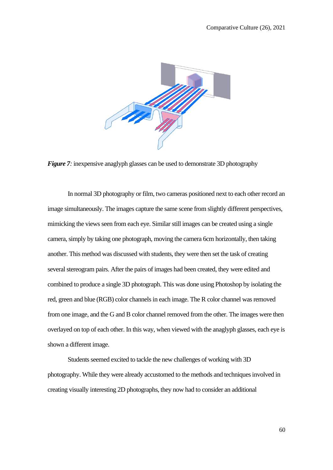

*Figure 7:* inexpensive anaglyph glasses can be used to demonstrate 3D photography

In normal 3D photography or film, two cameras positioned next to each other record an image simultaneously. The images capture the same scene from slightly different perspectives, mimicking the views seen from each eye. Similar still images can be created using a single camera, simply by taking one photograph, moving the camera 6cm horizontally, then taking another. This method was discussed with students, they were then set the task of creating several stereogram pairs. After the pairs of images had been created, they were edited and combined to produce a single 3D photograph. This was done using Photoshop by isolating the red, green and blue (RGB) color channels in each image. The R color channel was removed from one image, and the G and B color channel removed from the other. The images were then overlayed on top of each other. In this way, when viewed with the anaglyph glasses, each eye is shown a different image.

Students seemed excited to tackle the new challenges of working with 3D photography. While they were already accustomed to the methods and techniques involved in creating visually interesting 2D photographs, they now had to consider an additional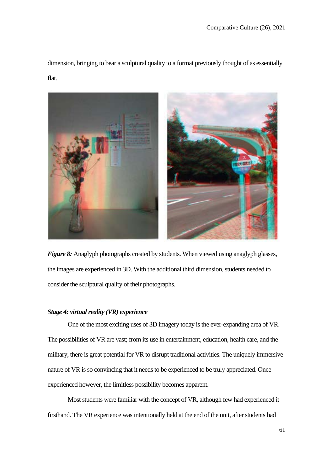dimension, bringing to bear a sculptural quality to a format previously thought of as essentially flat.



*Figure 8:* Anaglyph photographs created by students. When viewed using anaglyph glasses, the images are experienced in 3D. With the additional third dimension, students needed to consider the sculptural quality of their photographs.

## *Stage 4: virtual reality (VR) experience*

One of the most exciting uses of 3D imagery today is the ever-expanding area of VR. The possibilities of VR are vast; from its use in entertainment, education, health care, and the military, there is great potential for VR to disrupt traditional activities. The uniquely immersive nature of VR is so convincing that it needs to be experienced to be truly appreciated. Once experienced however, the limitless possibility becomes apparent.

Most students were familiar with the concept of VR, although few had experienced it firsthand. The VR experience was intentionally held at the end of the unit, after students had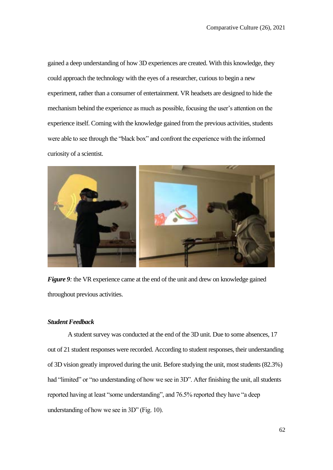gained a deep understanding of how 3D experiences are created. With this knowledge, they could approach the technology with the eyes of a researcher, curious to begin a new experiment, rather than a consumer of entertainment. VR headsets are designed to hide the mechanism behind the experience as much as possible, focusing the user's attention on the experience itself. Coming with the knowledge gained from the previous activities, students were able to see through the "black box" and confront the experience with the informed curiosity of a scientist.



*Figure 9:* the VR experience came at the end of the unit and drew on knowledge gained throughout previous activities.

## *Student Feedback*

A student survey was conducted at the end of the 3D unit. Due to some absences, 17 out of 21 student responses were recorded. According to student responses, their understanding of 3D vision greatly improved during the unit. Before studying the unit, most students (82.3%) had "limited" or "no understanding of how we see in 3D". After finishing the unit, all students reported having at least "some understanding", and 76.5% reported they have "a deep understanding of how we see in 3D" (Fig. 10).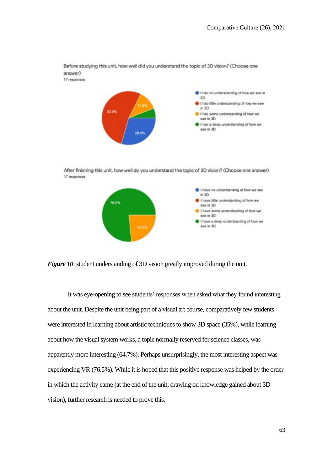

*Figure 10*: student understanding of 3D vision greatly improved during the unit.

It was eye-opening to see students' responses when asked what they found interesting about the unit. Despite the unit being part of a visual art course, comparatively few students were interested in learning about artistic techniques to show 3D space (35%), while learning about how the visual system works, a topic normally reserved for science classes, was apparently more interesting (64.7%). Perhaps unsurprisingly, the most interesting aspect was experiencing VR (76.5%). While it is hoped that this positive response was helped by the order in which the activity came (at the end of the unit; drawing on knowledge gained about 3D vision), further research is needed to prove this.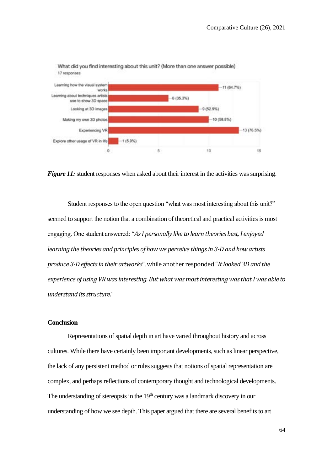

What did you find interesting about this unit? (More than one answer possible) 17 responses

*Figure 11:* student responses when asked about their interest in the activities was surprising.

Student responses to the open question "what was most interesting about this unit?" seemed to support the notion that a combination of theoretical and practical activities is most engaging. One student answered: "*As I personally like to learn theories best, I enjoyed learning the theories and principles of how we perceive things in 3-D and how artists produce 3-D effects in their artworks*", while another responded "*It looked 3D and the experience of using VR was interesting. But what was most interesting was that I was able to understand its structure*."

#### **Conclusion**

Representations of spatial depth in art have varied throughout history and across cultures. While there have certainly been important developments, such as linear perspective, the lack of any persistent method or rules suggests that notions of spatial representation are complex, and perhaps reflections of contemporary thought and technological developments. The understanding of stereopsis in the  $19<sup>th</sup>$  century was a landmark discovery in our understanding of how we see depth. This paper argued that there are several benefits to art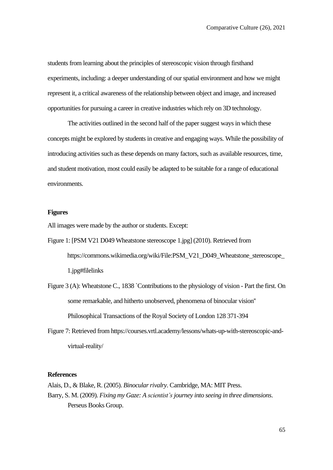students from learning about the principles of stereoscopic vision through firsthand experiments, including: a deeper understanding of our spatial environment and how we might represent it, a critical awareness of the relationship between object and image, and increased opportunities for pursuing a career in creative industries which rely on 3D technology.

The activities outlined in the second half of the paper suggest ways in which these concepts might be explored by students in creative and engaging ways. While the possibility of introducing activities such as these depends on many factors, such as available resources, time, and student motivation, most could easily be adapted to be suitable for a range of educational environments.

### **Figures**

All images were made by the author or students. Except:

- Figure 1: [PSM V21 D049 Wheatstone stereoscope 1.jpg] (2010). Retrieved from https://commons.wikimedia.org/wiki/File:PSM\_V21\_D049\_Wheatstone\_stereoscope\_ 1.jpg#filelinks
- Figure 3 (A): Wheatstone C., 1838 `Contributions to the physiology of vision Part the first. On some remarkable, and hitherto unobserved, phenomena of binocular vision'' Philosophical Transactions of the Royal Society of London 128 371-394
- Figure 7: Retrieved from https://courses.vrtl.academy/lessons/whats-up-with-stereoscopic-andvirtual-reality/

#### **References**

Alais, D., & Blake, R. (2005). *Binocular rivalry*. Cambridge, MA: MIT Press. Barry, S. M. (2009). *Fixing my Gaze: A scientist'sjourney into seeing in three dimensions*. Perseus Books Group.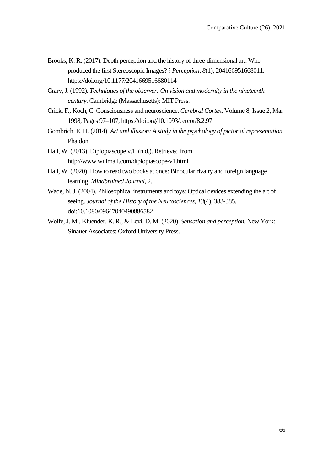- Brooks, K. R. (2017). Depth perception and the history of three-dimensional art: Who produced the first Stereoscopic Images? *i-Perception*, *8*(1), 204166951668011. https://doi.org/10.1177/2041669516680114
- Crary, J. (1992). *Techniques of the observer: On vision and modernity in the nineteenth century*. Cambridge (Massachusetts): MIT Press.
- Crick, F., Koch, C. Consciousness and neuroscience. *Cerebral Cortex*, Volume 8, Issue 2, Mar 1998, Pages 97–107, https://doi.org/10.1093/cercor/8.2.97
- Gombrich, E. H. (2014). *Art and illusion: A study in the psychology of pictorial representation*. Phaidon.
- Hall, W. (2013). Diplopiascope v.1. (n.d.). Retrieved from http://www.willrhall.com/diplopiascope-v1.html
- Hall, W. (2020). How to read two books at once: Binocular rivalry and foreign language learning. *Mindbrained Journal*, 2.
- Wade, N. J. (2004). Philosophical instruments and toys: Optical devices extending the art of seeing. *Journal of the History of the Neurosciences, 13*(4), 383-385. doi:10.1080/09647040490886582
- Wolfe, J. M., Kluender, K. R., & Levi, D. M. (2020). *Sensation and perception*. New York: Sinauer Associates: Oxford University Press.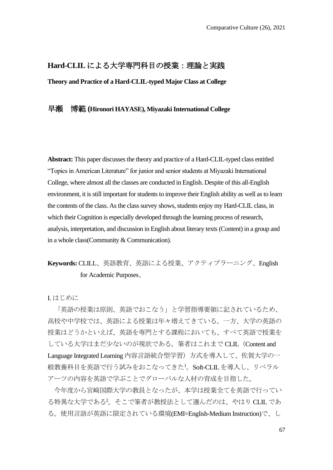## **Hard-CLIL** による大学専門科目の授業:理論と実践

**Theory and Practice of a Hard-CLIL-typed Major Class at College**

## 早瀬 博範 **(Hironori HAYASE), Miyazaki International College**

Abstract: This paper discusses the theory and practice of a Hard-CLIL-typed class entitled "Topics in American Literature" for junior and senior students at Miyazaki International College, where almost all the classes are conducted in English. Despite of this all-English environment, it is still important for students to improve their English ability as well as to learn the contents of the class. As the class survey shows, students enjoy my Hard-CLIL class, in which their Cognition is especially developed through the learning process of research, analysis, interpretation, and discussion in English about literary texts (Content) in a group and in a whole class(Community & Communication).

# **Keywords:** CLILL、英語教育、英語による授業、アクティブラーニング、English for Academic Purposes、

I. はじめに

「英語の授業は原則、英語でおこなう」と学習指導要領に記されているため、 高校や中学校では、英語による授業は年々増えてきている。一方、大学の英語の 授業はどうかといえば、英語を専門とする課程においても、すべて英語で授業を している大学はまだ少ないのが現状である。筆者はこれまで CLIL (Content and Language Integrated Learning 内容言語統合型学習)方式を導入して、佐賀大学の一 般教養科目を英語で行う試みをおこなってきた<sup>1</sup>。Soft-CLILを導入し、リベラル アーツの内容を英語で学ぶことでグローバルな人材の育成を目指した。

今年度から宮崎国際大学の教員となったが、本学は授業全てを英語で行ってい る特異な大学である<sup>2</sup>。そこで筆者が教授法として選んだのは、やはり CLILであ る。使用言語が英語に限定されている環境(EMI=English-Medium Instruction)で、し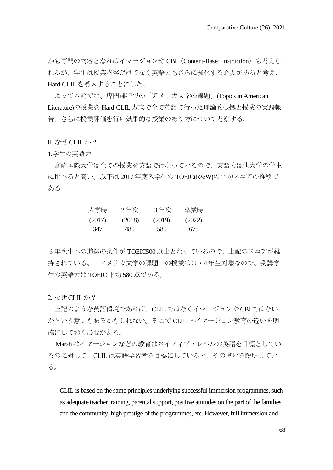かも専門の内容となればイマージョンや CBI(Content-Based Instruction)も考えら れるが、学生は授業内容だけでなく英語力もさらに強化する必要があると考え、 Hard-CLILを導入することにした。

よって本論では、専門課程での「アメリカ文学の課題」(Topics in American Literature)の授業を Hard-CLIL方式で全て英語で行った理論的根拠と授業の実践報 告、さらに授業評価を行い効果的な授業のあり方について考察する。

II. なぜ CLILか?

1.学生の英語力

宮崎国際大学は全ての授業を英語で行なっているので、英語力は他大学の学生 に比べると高い。以下は 2017年度入学生の TOEIC(R&W)の平均スコアの推移で ある。

| 入学時    | 2年次    | 3年次    | 卒業時    |
|--------|--------|--------|--------|
| (2017) | (2018) | (2019) | (2022) |
| 347    | 480    | 580    | 675    |

3年次生への進級の条件が TOEIC500以上となっているので、上記のスコアが維 持されている。「アメリカ文学の課題」の授業は3・4年生対象なので、受講学 生の英語力は TOEIC平均 580点である。

2. なぜ CLILか?

上記のような英語環境であれば、CLILではなくイマージョンや CBIではない かという意見もあるかもしれない。そこで CLILとイマージョン教育の違いを明 確にしておく必要がある。

Marshはイマージョンなどの教育はネイティブ・レベルの英語を目標としてい るのに対して、CLILは英語学習者を目標にしていると、その違いを説明してい る。

CLIL is based on the same principles underlying successful immersion programmes, such as adequate teacher training, parental support, positive attitudes on the part of the families and the community, high prestige of the programmes, etc. However, full immersion and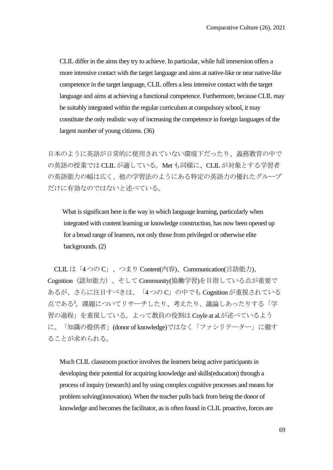CLIL differ in the aims they try to achieve. In particular, while full immersion offers a more intensive contact with the target language and aims at native-like or near native-like competence in the target language, CLIL offers a less intensive contact with the target language and aims at achieving a functional competence. Furthermore, because CLIL may be suitably integrated within the regular curriculum at compulsory school, it may constitute the only realistic way of increasing the competence in foreign languages of the largest number of young citizens. (36)

日本のように英語が日常的に使用されていない環境下だったり、義務教育の中で の英語の授業では CLILが適している。Metも同様に、CLILが対象とする学習者 の英語能力の幅は広く、他の学習法のようにある特定の英語力の優れたグループ だけに有効なのではないと述べている。

What is significant here is the way in which language learning, particularly when integrated with content learning or knowledge construction, has now been opened up for a broad range of learners, not only those from privileged or otherwise elite backgrounds. (2)

CLILは「4つの C」、つまり Content(内容)、Communication(言語能力)、 Cognition(認知能力)、そして Community(協働学習)を目指している点が重要で あるが、さらに注目すべきは、「4つの C」の中でも Cognitionが重視されている 点である<sup>3</sup>。課題についてリサーチしたり、考えたり、議論しあったりする「学 習の過程」を重視している。よって教員の役割は Coyle at al.が述べているよう に、「知識の提供者」(donor of knowledge)ではなく「ファシリテーター」に徹す ることが求められる。

Much CLIL classroom practice involves the learners being active participants in developing their potential for acquiring knowledge and skills(education) through a process of inquiry (research) and by using complex cognitive processes and means for problem solving(innovation). When the teacher pulls back from being the donor of knowledge and becomes the facilitator, as is often found in CLIL proactive, forces are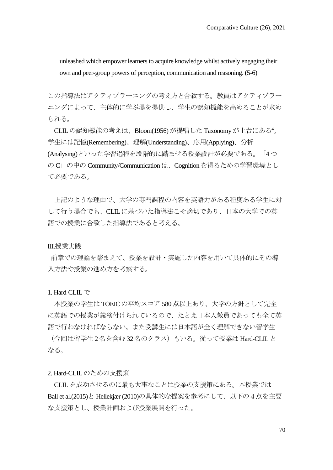unleashed which empower learners to acquire knowledge whilst actively engaging their own and peer-group powers of perception, communication and reasoning. (5-6)

この指導法はアクティブラーニングの考え方と合致する。教員はアクティブラー ニングによって、主体的に学ぶ場を提供し、学生の認知機能を高めることが求め られる。

CLILの認知機能の考えは、Bloom(1956) が提唱した Taxonomyが土台にある<sup>4</sup>。 学生には記憶(Remembering)、理解(Understanding)、応用(Applying)、分析 (Analysing)といった学習過程を段階的に踏ませる授業設計が必要である。「4つ の C」の中の Community/Communication は、Cognition を得るための学習環境とし て必要である。

上記のような理由で、大学の専門課程の内容を英語力がある程度ある学生に対 して行う場合でも、CLILに基づいた指導法こそ適切であり、日本の大学での英 語での授業に合致した指導法であると考える。

### III.授業実践

前章での理論を踏まえて、授業を設計・実施した内容を用いて具体的にその導 入方法や授業の進め方を考察する。

# 1. Hard-CLILで

本授業の学生は TOEICの平均スコア 580点以上あり、大学の方針として完全 に英語での授業が義務付けられているので、たとえ日本人教員であっても全て英 語で行わなければならない。また受講生には日本語が全く理解できない留学生

(今回は留学生 2名を含む 32名のクラス)もいる。従って授業は Hard-CLILと なる。

### 2. Hard-CLIL のための支援策

CLIL を成功させるのに最も大事なことは授業の支援策にある。本授業では Ball et al.(2015)と Hellekjær (2010)の具体的な提案を参考にして、以下の4点を主要 な支援策とし、授業計画および授業展開を行った。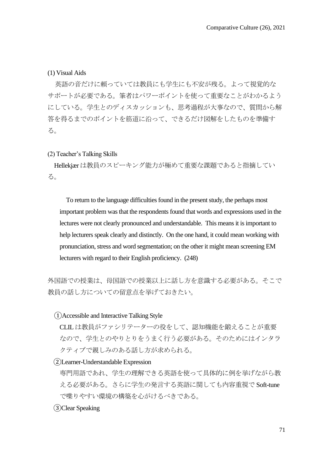(1) Visual Aids

 英語の音だけに頼っていては教員にも学生にも不安が残る。よって視覚的な サポートが必要である。筆者はパワーポイントを使って重要なことがわかるよう にしている。学生とのディスカッションも、思考過程が大事なので、質問から解 答を得るまでのポイントを筋道に沿って、できるだけ図解をしたものを準備す る。

### (2) Teacher's Talking Skills

Hellekjærは教員のスピーキング能力が極めて重要な課題であると指摘してい る。

To return to the language difficulties found in the present study, the perhaps most important problem was that the respondents found that words and expressions used in the lectures were not clearly pronounced and understandable. This means it is important to help lecturers speak clearly and distinctly. On the one hand, it could mean working with pronunciation, stress and word segmentation; on the other it might mean screening EM lecturers with regard to their English proficiency. (248)

外国語での授業は、母国語での授業以上に話し方を意識する必要がある。そこで 教員の話し方についての留意点を挙げておきたい。

# ①Accessible and Interactive Talking Style

CLILは教員がファシリテーターの役をして、認知機能を鍛えることが重要 なので、学生とのやりとりをうまく行う必要がある。そのためにはインタラ クティブで親しみのある話し方が求められる。

②Learner-Understandable Expression

専門用語であれ、学生の理解できる英語を使って具体的に例を挙げながら教 える必要がある。さらに学生の発言する英語に関しても内容重視で Soft-tune で喋りやすい環境の構築を心がけるべきである。

③Clear Speaking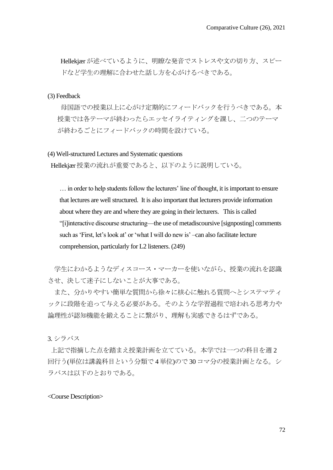Hellekiærが述べているように、明瞭な発音でストレスや文の切り方、スピー ドなど学生の理解に合わせた話し方を心がけるべきである。

### (3) Feedback

母国語での授業以上に心がけ定期的にフィードバックを行うべきである。本 授業では各テーマが終わったらエッセイライティングを課し、二つのテーマ が終わるごとにフィードバックの時間を設けている。

(4) Well-structured Lectures and Systematic questions

Hellekjær授業の流れが重要であると、以下のように説明している。

… in order to help students follow the lecturers' line of thought, it is important to ensure that lectures are well structured. It is also important that lecturers provide information about where they are and where they are going in their lecturers. This is called "[i]interactive discourse structuring—the use of metadiscoursive [signposting] comments such as 'First, let's look at' or 'what I will do new is' –can also facilitate lecture comprehension, particularly for L2 listeners. (249)

学生にわかるようなディスコース・マーカーを使いながら、授業の流れを認識 させ、決して迷子にしないことが大事である。

また、分かりやすい簡単な質問から徐々に核心に触れる質問へとシステマティ ックに段階を追って与える必要がある。そのような学習過程で培われる思考力や 論理性が認知機能を鍛えることに繋がり、理解も実感できるはずである。

3. シラバス

上記で指摘した点を踏まえ授業計画を立てている。本学では一つの科目を週 2 回行う(単位は講義科目という分類で 4単位)ので 30コマ分の授業計画となる。シ ラバスは以下のとおりである。

<Course Description>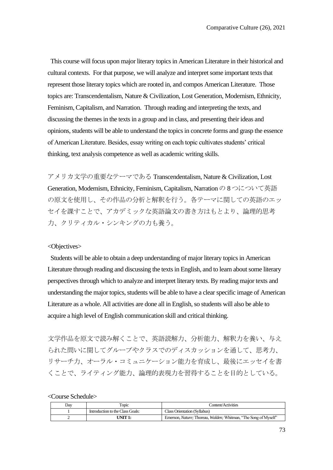This course will focus upon major literary topics in American Literature in their historical and cultural contexts. For that purpose, we will analyze and interpret some important texts that represent those literary topics which are rooted in, and compos American Literature. Those topics are: Transcendentalism, Nature & Civilization, Lost Generation, Modernism, Ethnicity, Feminism, Capitalism, and Narration. Through reading and interpreting the texts, and discussing the themesin the texts in a group and in class, and presenting their ideas and opinions, students will be able to understand the topicsin concrete forms and grasp the essence of American Literature. Besides, essay writing on each topic cultivates students' critical thinking, text analysis competence as well as academic writing skills.

アメリカ文学の重要なテーマである Transcendentalism, Nature & Civilization, Lost Generation, Modernism, Ethnicity, Feminism, Capitalism, Narrationの8つについて英語 の原文を使用し、その作品の分析と解釈を行う。各テーマに関しての英語のエッ セイを課すことで、アカデミックな英語論文の書き方はもとより、論理的思考 力、クリティカル・シンキングの力も養う。

# <Objectives>

 Students will be able to obtain a deep understanding of major literary topics in American Literature through reading and discussing the texts in English, and to learn about some literary perspectives through which to analyze and interpret literary texts. By reading major texts and understanding the major topics, students will be able to have a clear specific image of American Literature as a whole. All activities are done all in English, so students will also be able to acquire a high level of English communication skill and critical thinking.

文学作品を原文で読み解くことで、英語読解力、分析能力、解釈力を養い、与え られた問いに関してグループやクラスでのディスカッションを通して、思考力、 リサーチ力、オーラル・コミュニケーション能力を育成し、最後にエッセイを書 くことで、ライティング能力、論理的表現力を習得することを目的としている。

<Course Schedule>

| Dav | Topic                            | Content/Activities                                                              |
|-----|----------------------------------|---------------------------------------------------------------------------------|
|     | Introduction to the Class Goals: | Class Orientation (Syllabus)                                                    |
|     | UNIT 1:                          | Emerson, <i>Nature</i> : Thoreau, <i>Walden</i> : Whitman, "The Song of Myself" |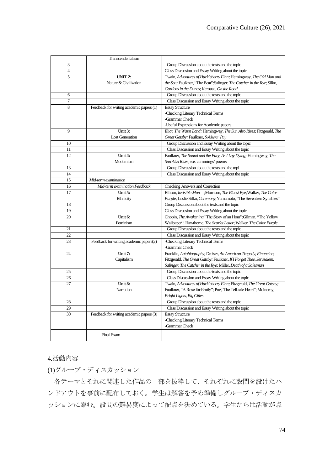|                | Transcendentalism                        |                                                                                      |
|----------------|------------------------------------------|--------------------------------------------------------------------------------------|
| 3              |                                          | Group Discussion about the texts and the topic                                       |
| $\overline{4}$ |                                          | Class Discussion and Essay Writing about the topic                                   |
| 5              | UNIT <sub>2</sub> :                      | Twain, Adventures of Huckleberry Finn; Hemingway, The Old Man and                    |
|                | Nature & Civilization                    | the Sea; Faulkner, "The Bear"; Salinger, The Catcher in the Rye; Silko,              |
|                |                                          | Gardens in the Dunes; Kerouac, On the Road                                           |
| 6              |                                          | Group Discussion about the texts and the topic                                       |
| $\overline{7}$ |                                          | Class Discussion and Essay Writing about the topic                                   |
| 8              | Feedback for writing academic papers (1) | <b>Essay Structure</b>                                                               |
|                |                                          | -Checking Literary Technical Terms                                                   |
|                |                                          | -Grammar Check                                                                       |
|                |                                          | -Useful Expressions for Academic papers                                              |
| 9              | Unit $3:$                                | Eliot, The Waste Land; Hemingway, The Sun Also Rises; Fitzgerald, The                |
|                | <b>Lost Generation</b>                   | Great Gatsby; Faulkner, Soldiers' Pay                                                |
| 10             |                                          | Group Discussion and Essay Writing about the topic                                   |
| 11             |                                          | Class Discussion and Essay Writing about the topic                                   |
| 12             | Unit $4:$                                | Faulkner, The Sound and the Fury, As I Lay Dying; Hemingway, The                     |
|                | Modernism                                | Sun Also Rises; e.e. cummings' poems                                                 |
| 13             |                                          | Group Discussion about the texts and the topi                                        |
| 14             |                                          | Class Discussion and Essay Writing about the topic                                   |
| 15             | Mid-term examination                     |                                                                                      |
| 16             | Mid-term examination Feedback            | <b>Checking Answers and Correction</b>                                               |
| 17             | Unit $5:$                                | Ellison, Invisible Man ;Morrison, The Bluest Eye; Walker, The Color                  |
|                | Ethnicity                                | Purple; Leslie Silko, Ceremony; Yamamoto, "The Seventeen Syllables"                  |
| 18             |                                          | Group Discussion about the texts and the topic                                       |
| 19             |                                          | Class Discussion and Essay Writing about the topic                                   |
| 20             | Unit 6:                                  | Chopin, The Awakening,"The Story of an Hour";Gilman, "The Yellow                     |
|                | Feminism                                 | Wallpaper"; Hawthorne, The Scarlet Letter; Walker, The Color Purple                  |
| 21             |                                          | Group Discussion about the texts and the topic                                       |
| 22             |                                          | Class Discussion and Essay Writing about the topic                                   |
| 23             | Feedback for writing academic papers(2)  | -Checking Literary Technical Terms                                                   |
|                |                                          | -Grammar Check                                                                       |
| 24             | Unit 7:                                  | Franklin, Autobiography; Dreiser, An American Tragedy, Financier;                    |
|                | Capitalism                               | Fitzgerald, <i>The Great Gatsby</i> ; Faulkner, <i>If I Forget Thee, Jerusalem</i> ; |
|                |                                          | Salinger, The Catcher in the Rye; Miller, Death of a Salesman                        |
| 25             |                                          | Group Discussion about the texts and the topic                                       |
| 26             |                                          | Class Discussion and Essay Writing about the topic                                   |
| 27             | Unit 8:                                  | Twain, Adventures of Huckleberry Finn; Fitzgerald, The Great Gatsby;                 |
|                | Narration                                | Faulkner, "A Rose for Emily"; Poe, "The Tell-tale Heart"; McInerny,                  |
|                |                                          | <b>Bright Lights, Big Cities</b>                                                     |
| 28             |                                          | Group Discussion about the texts and the topic                                       |
| 29             |                                          | Class Discussion and Essay Writing about the topic                                   |
| 30             | Feedback for writing academic papers (3) | <b>Essay Structure</b>                                                               |
|                |                                          | -Checking Literary Technical Terms                                                   |
|                |                                          | -Grammar Check                                                                       |
|                | <b>Final Exam</b>                        |                                                                                      |
|                |                                          |                                                                                      |

# 4.活動内容

(1)グループ・ディスカッション

各テーマとそれに関連した作品の一部を抜粋して、それぞれに設問を設けたハ ンドアウトを事前に配布しておく。学生は解答を予め準備しグルーブ・ディスカ ッションに臨む。設問の難易度によって配点を決めている。学生たちは活動が点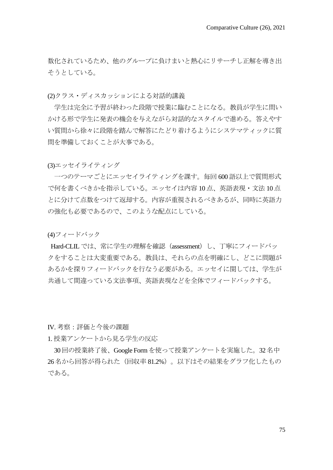数化されているため、他のグループに負けまいと熱心にリサーチし正解を導き出 そうとしている。

(2)クラス・ディスカッションによる対話的講義

学生は完全に予習が終わった段階で授業に臨むことになる。教員が学生に問い かける形で学生に発表の機会を与えながら対話的なスタイルで進める。答えやす い質問から徐々に段階を踏んで解答にたどり着けるようにシステマティックに質 問を準備しておくことが大事である。

(3)エッセイライティング

一つのテーマごとにエッセイライティングを課す。毎回 600語以上で質問形式 で何を書くべきかを指示している。エッセイは内容 10点、英語表現・文法 10点 とに分けて点数をつけて返却する。内容が重視されるべきあるが、同時に英語力 の強化も必要であるので、このような配点にしている。

(4)フィードバック

Hard-CLILでは、常に学生の理解を確認 (assessment) し、丁寧にフィードバッ クをすることは大変重要である。教員は、それらの点を明確にし、どこに問題が あるかを探りフィードバックを行なう必要がある。エッセイに関しては、学生が 共通して間違っている文法事項、英語表現などを全体でフィードバックする。

IV. 考察:評価と今後の課題

1. 授業アンケートから見る学生の反応

30回の授業終了後、Google Formを使って授業アンケートを実施した。32名中 26名から回答が得られた(回収率81.2%)。以下はその結果をグラフ化したもの である。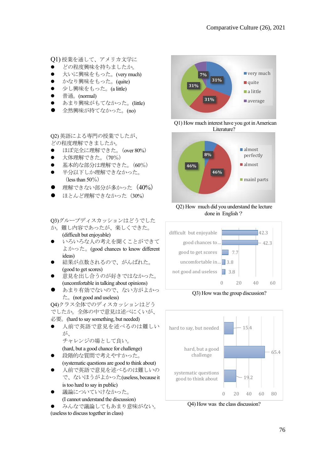Q1) 授業を通して、アメリカ文学に

- ⚫ どの程度興味を持ちましたか。
- ⚫ 大いに興味をもった。(very much)
- ⚫ かなり興味をもった。(quite)
- ⚫ 少し興味をもった。(a little)
- ⚫ 普通。(normal)
- ⚫ あまり興味がもてなかった。(little)
- ⚫ 全然興味が持てなかった。(no)

Q2) 英語による専門の授業でしたが、 どの程度理解できましたか。

- ほぼ完全に理解できた。(over 80%)
- ⚫ 大体理解できた。(70%)
- ⚫ 基本的な部分は理解できた。(60%)
- 半分以下しか理解できなかった。 (less than 50%)
- 理解できない部分が多かった (40%)
- ほとんど理解できなかった (30%)

Q3)グループディスカッションはどうでした か。難し内容であったが、楽しくできた。

- (difficult but enjoyable)
- いろいろな人の考えを聞くことができて よかった。(good chances to know different ideas)
- 結果が点数されるので、がんばれた。 (good to get scores)
- 意見を出し合うのが好きではなかった。 (uncomfortable in talking about opinions)
- ⚫ あまり有効でないので、ない方がよかっ た。(not good and useless)

Q4)クラス全体でのディスカッションはどう でしたか。全体の中で意見は述べにくいが、 必要。(hard to say something, but needed)

- 
- ⚫ 人前で英語で意見を述べるのは難しい が、

チャレンジの場として良い。

(hard, but a good chance for challenge)

- ⚫ 段階的な質問で考えやすかった。 (systematic questions are good to think about)
- ⚫ 人前で英語で意見を述べるのは難しいの で、ないほうがよかった(useless, because it is too hard to say in public)
- 議論についていけなかった。 (I cannot understand the discussion)
- ⚫ みんなで議論してもあまり意味がない。

(useless to discuss together in class)



Q1) How much interest have you got in American Literature?



Q2) How much did you understand the lecture done in English?



Q3) How was the group discussion?



Q4) How was the class discussion?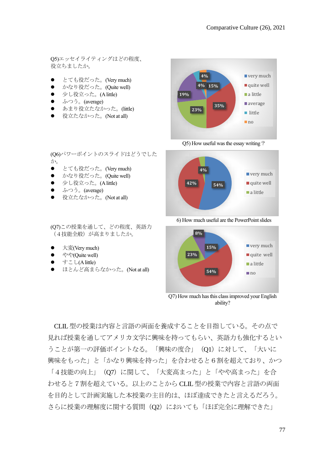Q5)エッセイライティングはどの程度、 役立ちましたか。

- ⚫ とても役だった。(Very much)
- ⚫ かなり役だった。(Quite well)
- 少し役立った。(A little)
- ふつう。(average)

か。

⚫ あまり役立たなかった。(little)

(Q6)パワーポイントのスライドはどうでした

役立たなかった。(Not at all)

● とても役だった。(Very much) ● かなり役だった。(Quite well) ● 少し役立った。(A little) ● ふつう。(average)

● 役立たなかった。(Not at all)

大変(Very much) やや(Ouite well) ⚫ すこし(A little)

(Q7)この授業を通して、どの程度、英語力 (4技能全般)が高まりましたか。

● ほとんど高まらなかった。(Not at all)



Q5) How useful was the essay writing?



6) How much useful are the PowerPoint slides



Q7) How much has this class improved your English ability?

CLIL型の授業は内容と言語の両面を養成することを目指している。その点で 見れば授業を通してアメリカ文学に興味を持ってもらい、英語力も強化するとい うことが第一の評価ポイントなる。「興味の度合」 (Q1) に対して、「大いに 興味をもった」と「かなり興味を持った」を合わせると6割を超えており、かつ

「4技能の向上」(O7)に関して、「大変高まった」と「やや高まった」を合 わせると7割を超えている。以上のことから CLIL型の授業で内容と言語の両面 を目的として計画実施した本授業の主目的は、ほぼ達成できたと言えるだろう。 さらに授業の理解度に関する質問 (Q2) においても「ほぼ完全に理解できた」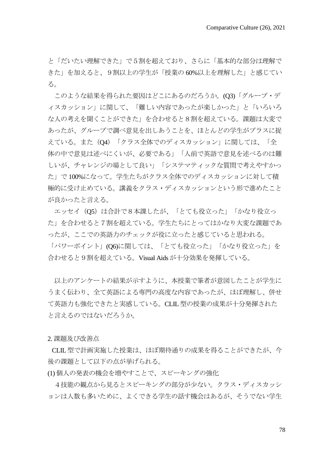と「だいたい理解できた」で5割を超えており、さらに「基本的な部分は理解で きた」を加えると、9割以上の学生が「授業の 60%以上を理解した」と感じてい る。

このような結果を得られた要因はどこにあるのだろうか。(O3)「グループ・デ ィスカッション」に関して、「難しい内容であったが楽しかった」と「いろいろ な人の考えを聞くことができた」を合わせると8割を超えている。課題は大変で あったが、グループで調べ意見を出しあうことを、ほとんどの学生がプラスに捉 えている。また(Q4)「クラス全体でのディスカッション」に関しては、「全 体の中で意見は述べにくいが、必要である」「人前で英語で意見を述べるのは難 しいが、チャレンジの場として良い」「システマティックな質問で考えやすかっ た」で 100%になって。学生たちがクラス全体でのディスカッションに対して積 極的に受け止めている。講義をクラス・ディスカッションという形で進めたこと が良かったと言える。

エッセイ (O5) は合計で8本課したが、「とても役立った」「かなり役立っ た」を合わせると7割を超えている。学生たちにとってはかなり大変な課題であ ったが、ここでの英語力のチェックが役に立ったと感じていると思われる。

「パワーポイント」(Q6)に関しては、「とても役立った」「かなり役立った」を 合わせると9割を超えている。Visual Aidsが十分効果を発揮している。

以上のアンケートの結果が示すように、本授業で筆者が意図したことが学生に うまく伝わり、全て英語による専門の高度な内容であったが、ほぼ理解し、併せ て英語力も強化できたと実感している。CLIL型の授業の成果が十分発揮された と言えるのではないだろうか。

2. 課題及び改善点

 CLIL型で計画実施した授業は、ほぼ期待通りの成果を得ることができたが、今 後の課題として以下の点が挙げられる。

(1) 個人の発表の機会を増やすことで、スピーキングの強化

4技能の観点から見るとスピーキングの部分が少ない。クラス・ディスカッシ ョンは人数も多いために、よくできる学生の話す機会はあるが、そうでない学生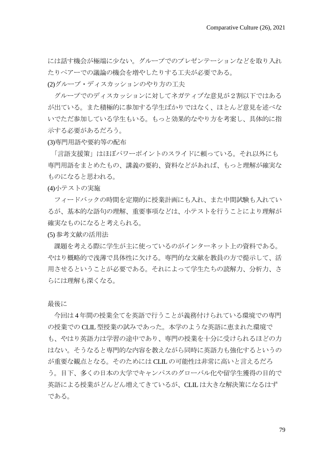には話す機会が極端に少ない。グループでのプレゼンテーションなどを取り入れ たりペアーでの議論の機会を増やしたりする工夫が必要である。

(2)グループ・ディスカッションのやり方の工夫

グループでのディスカッションに対してネガティブな意見が2割以下ではある が出ている。また積極的に参加する学生ばかりではなく、ほとんど意見を述べな いでただ参加している学生もいる。もっと効果的なやり方を考案し、具体的に指 示する必要があるだろう。

(3)専門用語や要約等の配布

「言語支援策」はほぼパワーポイントのスライドに頼っている。それ以外にも 専門用語をまとめたもの、講義の要約、資料などがあれば、もっと理解が確実な ものになると思われる。

(4)小テストの実施

フィードバックの時間を定期的に授業計画にも入れ、また中間試験も入れてい るが、基本的な語句の理解、重要事項などは、小テストを行うことにより理解が 確実なものになると考えられる。

(5) 参考文献の活用法

課題を考える際に学生が主に使っているのがインターネット上の資料である。 やはり概略的で浅薄で具体性に欠ける。専門的な文献を教員の方で提示して、活 用させるということが必要である。それによって学生たちの読解力、分析力、さ らには理解も深くなる。

最後に

今回は 4年間の授業全てを英語で行うことが義務付けられている環境での専門 の授業での CLIL型授業の試みであった。本学のような英語に恵まれた環境で も、やはり英語力は学習の途中であり、専門の授業を十分に受けられるほどの力 はない。そうなると専門的な内容を教えながら同時に英語力も強化するというの が重要な観点となる。そのためには CLILの可能性は非常に高いと言えるだろ う。目下、多くの日本の大学でキャンパスのグローバル化や留学生獲得の目的で 英語による授業がどんどん増えてきているが、CLILは大きな解決策になるはず である。

79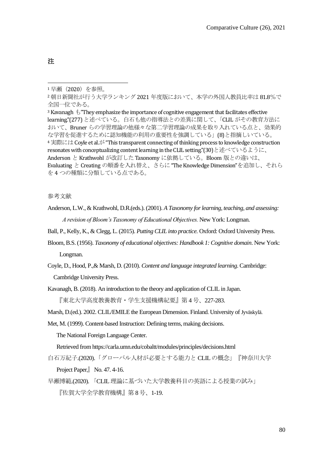注

3 Kavanagh  $\mathcal{L}$  "They emphasize the importance of cognitive engagement that facilitates effective learning."(277) と述べている。白石も他の指導法との差異に関して、「CLIL がその教育方法に おいて、Bruner らの学習理論の他様々な第二学習理論の成果を取り入れている点と、効果的 な学習を促進するために認知機能の利用の重要性を強調している」(8)と指摘しいている。 <sup>4</sup> 実際には Coyle et al.が "This transparent connecting of thinking process to knowledge construction resonates with conceptualizing content learning in the CLIL setting."(30)と述べているように、 Anderson と Krathwohl が改訂した Taxonomy に依拠している。Bloom 版との違いは、 Evaluating と Creating の順番を入れ替え、さらに"The Knowledge Dimension"を追加し、それら を 4 つの種類に分類している点である。

参考文献

- Anderson, L.W., & Krathwohl, D.R.(eds.). (2001). *A Taxonomy for learning, teaching, and assessing: A revision of Bloom's Taxonomy of Educational Objectives.* New York: Longman.
- Ball, P., Kelly, K., & Clegg, L. (2015). *Putting CLIL into practice.* Oxford: Oxford University Press.
- Bloom, B.S. (1956). *Taxonomy of educational objectives: Handbook 1: Cognitive domain*. New York: Longman.
- Coyle, D., Hood, P.,& Marsh, D. (2010). *Content and language integrated learning*. Cambridge: Cambridge University Press.
- Kavanagh, B. (2018). An introduction to the theory and application of CLIL in Japan.

『東北大学高度教養教育・学生支援機構紀要』第 4号、227-283.

Marsh, D.(ed.). 2002. CLIL/EMILE the European Dimension. Finland. University of Jyväskylä.

Met, M. (1999). Content-based Instruction: Defining terms, making decisions.

The National Foreign Language Center.

Retrieved from https://carla.umn.edu/cobaltt/modules/principles/decisions.html

白石万紀子.(2020).「グローバル人材が必要とする能力と CLILの概念」『神奈川大学

Project Paper』 No. 47. 4-16.

早瀬博範.(2020). 「CLIL理論に基づいた大学教養科目の英語による授業の試み」

『佐賀大学全学教育機構』第 8号、1-19.

<sup>1</sup>早瀬(2020)を参照。

<sup>2</sup>朝日新聞社が行う大学ランキング 2021 年度版において、本学の外国人教員比率は 81.8%で 全国一位である。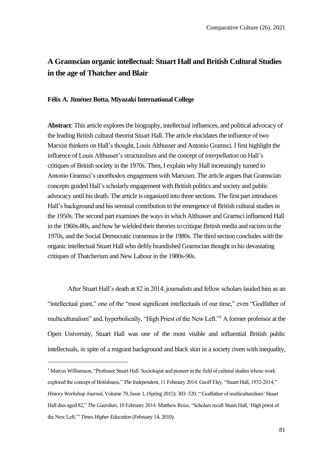# **A Gramscian organic intellectual: Stuart Hall and British Cultural Studies in the age of Thatcher and Blair**

### **Félix A. Jiménez Botta, Miyazaki International College**

**Abstract**: This article explores the biography, intellectual influences, and political advocacy of the leading British cultural theorist Stuart Hall. The article elucidates the influence of two Marxist thinkers on Hall's thought, Louis Althusser and Antonio Gramsci. I first highlight the influence of Louis Althusser's structuralism and the concept of *interpellation* on Hall's critiques of British society in the 1970s. Then, I explain why Hall increasingly turned to Antonio Gramsci's unorthodox engagement with Marxism. The article argues that Gramscian concepts guided Hall's scholarly engagement with British politics and society and public advocacy until his death. The article is organized into three sections. The first part introduces Hall's background and his seminal contribution to the emergence of British cultural studies in the 1950s. The second part examines the ways in which Althusser and Gramsci influenced Hall in the 1960s-80s, and how he wielded their theories to critique British media and racism in the 1970s, and the Social Democratic consensus in the 1980s. The third section concludes with the organic intellectual Stuart Hall who deftly brandished Gramscian thought in his devastating critiques of Thatcherism and New Labour in the 1980s-90s.

After Stuart Hall's death at 82 in 2014, journalists and fellow scholars lauded him as an "intellectual giant," one of the "most significant intellectuals of our time," even "Godfather of multiculturalism" and, hyperbolically, "High Priest of the New Left."<sup>1</sup> A former professor at the Open University, Stuart Hall was one of the most visible and influential British public intellectuals, in spite of a migrant background and black skin in a society riven with inequality,

<sup>&</sup>lt;sup>1</sup> Marcus Williamson, "Professor Stuart Hall: Sociologist and pioneer in the field of cultural studies whose work explored the concept of Britishness," *The Independent*, 11 February 2014. Geoff Eley, "Stuart Hall, 1932-2014," *History Workshop Journal*, Volume 79, Issue 1, (Spring 2015): 303–320. "'Godfather of multiculturalism' Stuart Hall dies aged 82," *The Guardian*, 10 February 2014. Matthew Reisz, "Scholars recall Stuart Hall, 'High priest of the New Left,'" *Times Higher Education* (February 14, 2010).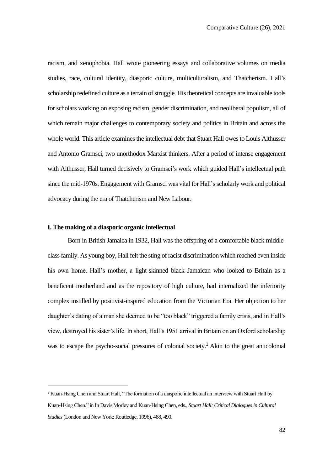racism, and xenophobia. Hall wrote pioneering essays and collaborative volumes on media studies, race, cultural identity, diasporic culture, multiculturalism, and Thatcherism. Hall's scholarship redefined culture as a terrain of struggle. His theoretical concepts are invaluable tools for scholars working on exposing racism, gender discrimination, and neoliberal populism, all of which remain major challenges to contemporary society and politics in Britain and across the whole world. This article examines the intellectual debt that Stuart Hall owes to Louis Althusser and Antonio Gramsci, two unorthodox Marxist thinkers. After a period of intense engagement with Althusser, Hall turned decisively to Gramsci's work which guided Hall's intellectual path since the mid-1970s. Engagement with Gramsci was vital for Hall's scholarly work and political advocacy during the era of Thatcherism and New Labour.

### **I. The making of a diasporic organic intellectual**

Born in British Jamaica in 1932, Hall was the offspring of a comfortable black middleclass family. As young boy, Hall felt the sting of racist discrimination which reached even inside his own home. Hall's mother, a light-skinned black Jamaican who looked to Britain as a beneficent motherland and as the repository of high culture, had internalized the inferiority complex instilled by positivist-inspired education from the Victorian Era. Her objection to her daughter's dating of a man she deemed to be "too black" triggered a family crisis, and in Hall's view, destroyed his sister's life. In short, Hall's 1951 arrival in Britain on an Oxford scholarship was to escape the psycho-social pressures of colonial society.<sup>2</sup> Akin to the great anticolonial

<sup>&</sup>lt;sup>2</sup> Kuan-Hsing Chen and Stuart Hall, "The formation of a diasporic intellectual an interview with Stuart Hall by Kuan-Hsing Chen," in In Davis Morley and Kuan-Hsing Chen, eds., *Stuart Hall: Critical Dialogues in Cultural Studies*(London and New York: Routledge, 1996), 488, 490.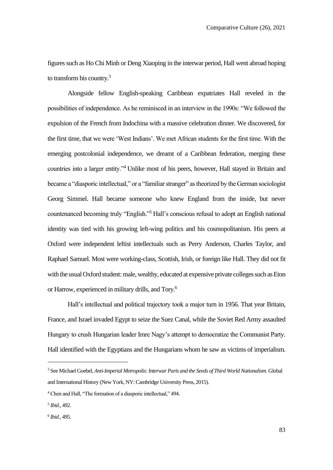figures such as Ho Chi Minh or Deng Xiaoping in the interwar period, Hall went abroad hoping to transform his country.<sup>3</sup>

Alongside fellow English-speaking Caribbean expatriates Hall reveled in the possibilities of independence. As he reminisced in an interview in the 1990s: "We followed the expulsion of the French from Indochina with a massive celebration dinner. We discovered, for the first time, that we were 'West Indians'. We met African students for the first time. With the emerging postcolonial independence, we dreamt of a Caribbean federation, merging these countries into a larger entity."<sup>4</sup> Unlike most of his peers, however, Hall stayed in Britain and became a "diasporic intellectual," or a "familiar stranger" as theorized by the German sociologist Georg Simmel. Hall became someone who knew England from the inside, but never countenanced becoming truly "English."<sup>5</sup> Hall's conscious refusal to adopt an English national identity was tied with his growing left-wing politics and his cosmopolitanism. His peers at Oxford were independent leftist intellectuals such as Perry Anderson, Charles Taylor, and Raphael Samuel. Most were working-class, Scottish, Irish, or foreign like Hall. They did not fit with the usual Oxford student: male, wealthy, educated at expensive private colleges such as Eton or Harrow, experienced in military drills, and Tory.<sup>6</sup>

Hall's intellectual and political trajectory took a major turn in 1956. That year Britain, France, and Israel invaded Egypt to seize the Suez Canal, while the Soviet Red Army assaulted Hungary to crush Hungarian leader Imre Nagy's attempt to democratize the Communist Party. Hall identified with the Egyptians and the Hungarians whom he saw as victims of imperialism.

<sup>3</sup> See Michael Goebel, *Anti-Imperial Metropolis: Interwar Paris and the Seeds of Third World Nationalism*. Global and International History (New York, NY: Cambridge University Press, 2015).

<sup>4</sup> Chen and Hall, "The formation of a diasporic intellectual," 494.

<sup>5</sup> *Ibid*., 492.

<sup>6</sup> *Ibid*., 495.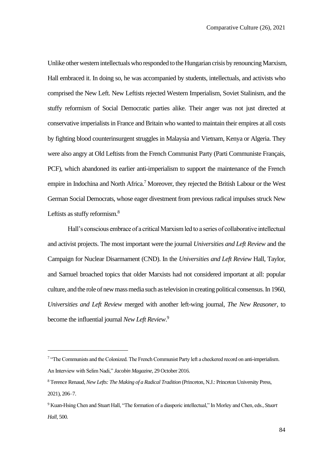Unlike other western intellectuals who responded to the Hungarian crisis by renouncing Marxism, Hall embraced it. In doing so, he was accompanied by students, intellectuals, and activists who comprised the New Left. New Leftists rejected Western Imperialism, Soviet Stalinism, and the stuffy reformism of Social Democratic parties alike. Their anger was not just directed at conservative imperialists in France and Britain who wanted to maintain their empires at all costs by fighting blood counterinsurgent struggles in Malaysia and Vietnam, Kenya or Algeria. They were also angry at Old Leftists from the French Communist Party (Parti Communiste Français, PCF), which abandoned its earlier anti-imperialism to support the maintenance of the French empire in Indochina and North Africa.<sup>7</sup> Moreover, they rejected the British Labour or the West German Social Democrats, whose eager divestment from previous radical impulses struck New Leftists as stuffy reformism.<sup>8</sup>

Hall's conscious embrace of a critical Marxism led to a series of collaborative intellectual and activist projects. The most important were the journal *Universities and Left Review* and the Campaign for Nuclear Disarmament (CND). In the *Universities and Left Review* Hall, Taylor, and Samuel broached topics that older Marxists had not considered important at all: popular culture, and the role of new mass media such as television in creating political consensus. In 1960, *Universities and Left Review* merged with another left-wing journal, *The New Reasoner*, to become the influential journal *New Left Review*. 9

<sup>&</sup>lt;sup>7</sup> "The Communists and the Colonized. The French Communist Party left a checkered record on anti-imperialism. An Interview with Selim Nadi," *Jacobin Magazine*, 29 October 2016.

<sup>8</sup> Terence Renaud, *New Lefts: The Making of a Radical Tradition* (Princeton, N.J.: Princeton University Press, 2021), 206–7.

<sup>9</sup> Kuan-Hsing Chen and Stuart Hall, "The formation of a diasporic intellectual," In Morley and Chen, eds., *Stuart Hall*, 500.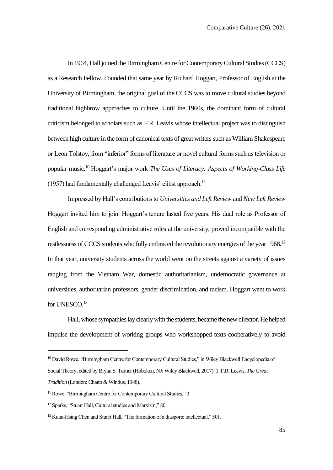In 1964, Hall joined the Birmingham Centre for Contemporary Cultural Studies (CCCS) as a Research Fellow. Founded that same year by Richard Hoggart, Professor of English at the University of Birmingham, the original goal of the CCCS was to move cultural studies beyond traditional highbrow approaches to culture. Until the 1960s, the dominant form of cultural criticism belonged to scholars such as F.R. Leavis whose intellectual project was to distinguish between high culture in the form of canonical texts of great writers such as William Shakespeare or Leon Tolstoy, from "inferior" forms of literature or novel cultural forms such as television or popular music.<sup>10</sup> Hoggart's major work *The Uses of Literacy: Aspects of Working-Class Life* (1957) had fundamentally challenged Leavis' elitist approach.<sup>11</sup>

Impressed by Hall's contributions to *Universities and Left Review* and *New Left Review*  Hoggart invited him to join. Hoggart's tenure lasted five years. His dual role as Professor of English and corresponding administrative roles at the university, proved incompatible with the restlessness of CCCS students who fully embraced the revolutionary energies of the year 1968.<sup>12</sup> In that year, university students across the world went on the streets against a variety of issues ranging from the Vietnam War, domestic authoritarianism, undemocratic governance at universities, authoritarian professors, gender discrimination, and racism. Hoggart went to work for UNESCO.<sup>13</sup>

Hall, whose sympathies lay clearly with the students, became the new director. He helped impulse the development of working groups who workshopped texts cooperatively to avoid

<sup>&</sup>lt;sup>10</sup> David Rowe, "Birmingham Centre for Contemporary Cultural Studies," in Wiley Blackwell Encyclopedia of Social Theory, edited by Bryan S. Turner (Hoboken, NJ: Wiley Blackwell, 2017), 1. F.R. Leavis, *The Great Tradition* (London: Chatto & Windus, 1948).

<sup>&</sup>lt;sup>11</sup> Rowe, "Birmingham Centre for Contemporary Cultural Studies," 3.

<sup>12</sup> Sparks, "Stuart Hall, Cultural studies and Marxism," 80.

<sup>&</sup>lt;sup>13</sup> Kuan-Hsing Chen and Stuart Hall, "The formation of a diasporic intellectual," 501.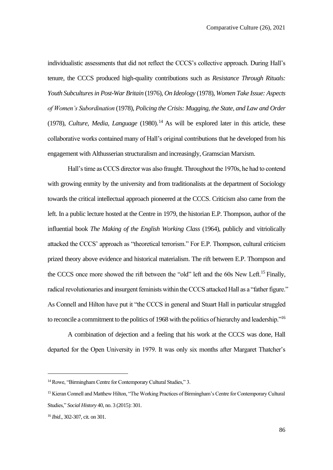individualistic assessments that did not reflect the CCCS's collective approach. During Hall's tenure, the CCCS produced high-quality contributions such as *Resistance Through Rituals: Youth Subcultures in Post-War Britain* (1976), *On Ideology* (1978), *Women Take Issue: Aspects of Women's Subordination* (1978), *Policing the Crisis: Mugging, the State, and Law and Order* (1978), *Culture, Media, Language* (1980).<sup>14</sup> As will be explored later in this article, these collaborative works contained many of Hall's original contributions that he developed from his engagement with Althusserian structuralism and increasingly, Gramscian Marxism.

Hall's time as CCCS director was also fraught. Throughout the 1970s, he had to contend with growing enmity by the university and from traditionalists at the department of Sociology towards the critical intellectual approach pioneered at the CCCS. Criticism also came from the left. In a public lecture hosted at the Centre in 1979, the historian E.P. Thompson, author of the influential book *The Making of the English Working Class* (1964), publicly and vitriolically attacked the CCCS' approach as "theoretical terrorism." For E.P. Thompson, cultural criticism prized theory above evidence and historical materialism. The rift between E.P. Thompson and the CCCS once more showed the rift between the "old" left and the 60s New Left.<sup>15</sup> Finally, radical revolutionaries and insurgent feminists within the CCCS attacked Hall as a "father figure." As Connell and Hilton have put it "the CCCS in general and Stuart Hall in particular struggled to reconcile a commitment to the politics of 1968 with the politics of hierarchy and leadership."<sup>16</sup>

A combination of dejection and a feeling that his work at the CCCS was done, Hall departed for the Open University in 1979. It was only six months after Margaret Thatcher's

<sup>&</sup>lt;sup>14</sup> Rowe, "Birmingham Centre for Contemporary Cultural Studies," 3.

<sup>&</sup>lt;sup>15</sup> Kieran Connell and Matthew Hilton, "The Working Practices of Birmingham's Centre for Contemporary Cultural Studies," *Social History* 40, no. 3 (2015): 301.

<sup>16</sup> *Ibid*., 302-307, cit. on 301.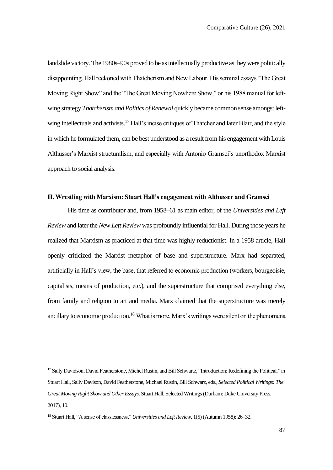landslide victory. The 1980s–90s proved to be as intellectually productive as they were politically disappointing. Hall reckoned with Thatcherism and New Labour. His seminal essays "The Great Moving Right Show" and the "The Great Moving Nowhere Show," or his 1988 manual for leftwing strategy *Thatcherism and Politics of Renewal* quickly became common sense amongst leftwing intellectuals and activists.<sup>17</sup> Hall's incise critiques of Thatcher and later Blair, and the style in which he formulated them, can be best understood as a result from his engagement with Louis Althusser's Marxist structuralism, and especially with Antonio Gramsci's unorthodox Marxist approach to social analysis.

# **II. Wrestling with Marxism: Stuart Hall's engagement with Althusser and Gramsci**

His time as contributor and, from 1958–61 as main editor, of the *Universities and Left Review* and later the *New Left Review* was profoundly influential for Hall. During those years he realized that Marxism as practiced at that time was highly reductionist. In a 1958 article, Hall openly criticized the Marxist metaphor of base and superstructure. Marx had separated, artificially in Hall's view, the base, that referred to economic production (workers, bourgeoisie, capitalists, means of production, etc.), and the superstructure that comprised everything else, from family and religion to art and media. Marx claimed that the superstructure was merely ancillary to economic production.<sup>18</sup> What is more, Marx's writings were silent on the phenomena

<sup>17</sup> Sally Davidson, David Featherstone, Michel Rustin, and Bill Schwartz, "Introduction: Redefining the Political," in Stuart Hall, Sally Davison, David Featherstone, Michael Rustin, Bill Schwarz, eds., *Selected Political Writings: The Great Moving Right Show and Other Essays*. Stuart Hall, Selected Writings (Durham: Duke University Press, 2017), 10.

<sup>18</sup> Stuart Hall, "A sense of classlessness," *Universities and Left Review,* 1(5) (Autumn 1958): 26–32.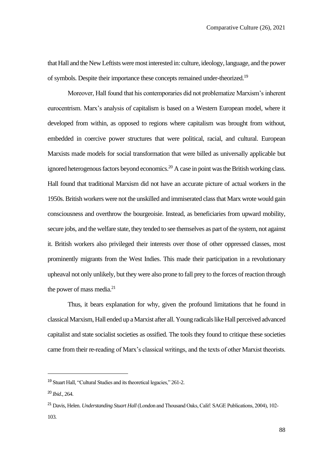that Hall and the New Leftists were most interested in: culture, ideology, language, and the power of symbols. Despite their importance these concepts remained under-theorized.<sup>19</sup>

Moreover, Hall found that his contemporaries did not problematize Marxism's inherent eurocentrism. Marx's analysis of capitalism is based on a Western European model, where it developed from within, as opposed to regions where capitalism was brought from without, embedded in coercive power structures that were political, racial, and cultural. European Marxists made models for social transformation that were billed as universally applicable but ignored heterogenous factors beyond economics.<sup>20</sup> A case in point was the British working class. Hall found that traditional Marxism did not have an accurate picture of actual workers in the 1950s. British workers were not the unskilled and immiserated class that Marx wrote would gain consciousness and overthrow the bourgeoisie. Instead, as beneficiaries from upward mobility, secure jobs, and the welfare state, they tended to see themselves as part of the system, not against it. British workers also privileged their interests over those of other oppressed classes, most prominently migrants from the West Indies. This made their participation in a revolutionary upheaval not only unlikely, but they were also prone to fall prey to the forces of reaction through the power of mass media. $21$ 

Thus, it bears explanation for why, given the profound limitations that he found in classical Marxism, Hall ended up a Marxist after all. Young radicals like Hall perceived advanced capitalist and state socialist societies as ossified. The tools they found to critique these societies came from their re-reading of Marx's classical writings, and the texts of other Marxist theorists.

<sup>19</sup> Stuart Hall, "Cultural Studies and its theoretical legacies," 261-2.

<sup>20</sup> *Ibid*., 264.

<sup>21</sup> Davis, Helen. *Understanding Stuart Hall* (London and Thousand Oaks, Calif: SAGE Publications, 2004), 102- 103.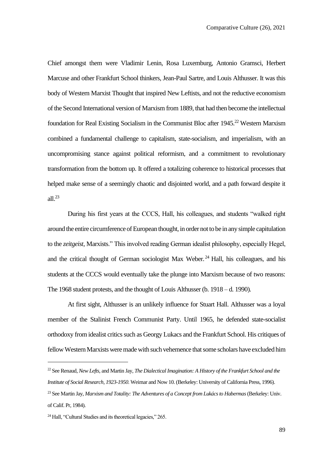Chief amongst them were Vladimir Lenin, Rosa Luxemburg, Antonio Gramsci, Herbert Marcuse and other Frankfurt School thinkers, Jean-Paul Sartre, and Louis Althusser. It was this body of Western Marxist Thought that inspired New Leftists, and not the reductive economism of the Second International version of Marxism from 1889, that had then become the intellectual foundation for Real Existing Socialism in the Communist Bloc after 1945.<sup>22</sup> Western Marxism combined a fundamental challenge to capitalism, state-socialism, and imperialism, with an uncompromising stance against political reformism, and a commitment to revolutionary transformation from the bottom up. It offered a totalizing coherence to historical processes that helped make sense of a seemingly chaotic and disjointed world, and a path forward despite it all. $^{23}$ 

During his first years at the CCCS, Hall, his colleagues, and students "walked right around the entire circumference of European thought, in order not to be in any simple capitulation to the *zeitgeist*, Marxists." This involved reading German idealist philosophy, especially Hegel, and the critical thought of German sociologist Max Weber.<sup>24</sup> Hall, his colleagues, and his students at the CCCS would eventually take the plunge into Marxism because of two reasons: The 1968 student protests, and the thought of Louis Althusser (b. 1918 – d. 1990).

At first sight, Althusser is an unlikely influence for Stuart Hall. Althusser was a loyal member of the Stalinist French Communist Party. Until 1965, he defended state-socialist orthodoxy from idealist critics such as Georgy Lukacs and the Frankfurt School. His critiques of fellow Western Marxists were made with such vehemence that some scholars have excluded him

<sup>22</sup> See Renaud, *New Lefts*, and Martin Jay, *The Dialectical Imagination: A History of the Frankfurt School and the Institute of Social Research, 1923-1950*. Weimar and Now 10. (Berkeley: University of California Press, 1996).

<sup>23</sup> See Martin Jay, *Marxism and Totality: The Adventures of a Concept from Lukács to Habermas*(Berkeley: Univ. of Calif. Pr, 1984).

<sup>24</sup> Hall, "Cultural Studies and its theoretical legacies," 265.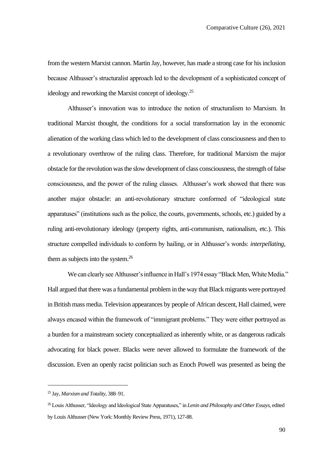from the western Marxist cannon. Martin Jay, however, has made a strong case for his inclusion because Althusser's structuralist approach led to the development of a sophisticated concept of ideology and reworking the Marxist concept of ideology.<sup>25</sup>

Althusser's innovation was to introduce the notion of structuralism to Marxism. In traditional Marxist thought, the conditions for a social transformation lay in the economic alienation of the working class which led to the development of class consciousness and then to a revolutionary overthrow of the ruling class. Therefore, for traditional Marxism the major obstacle for the revolution was the slow development of class consciousness, the strength of false consciousness, and the power of the ruling classes. Althusser's work showed that there was another major obstacle: an anti-revolutionary structure conformed of "ideological state apparatuses" (institutions such as the police, the courts, governments, schools, etc.) guided by a ruling anti-revolutionary ideology (property rights, anti-communism, nationalism, etc.). This structure compelled individuals to conform by hailing, or in Althusser's words: *interpellating*, them as subjects into the system.<sup>26</sup>

We can clearly see Althusser's influence in Hall's 1974 essay "Black Men, White Media." Hall argued that there was a fundamental problem in the way that Black migrants were portrayed in British mass media. Television appearances by people of African descent, Hall claimed, were always encased within the framework of "immigrant problems." They were either portrayed as a burden for a mainstream society conceptualized as inherently white, or as dangerous radicals advocating for black power. Blacks were never allowed to formulate the framework of the discussion. Even an openly racist politician such as Enoch Powell was presented as being the

<sup>25</sup> Jay, *Marxism and Totality*, 388–91.

<sup>26</sup> Louis Althusser, "Ideology and Ideological State Apparatuses," in *Lenin and Philosophy and Other Essays*, edited by Louis Althusser (New York: Monthly Review Press, 1971), 127-88.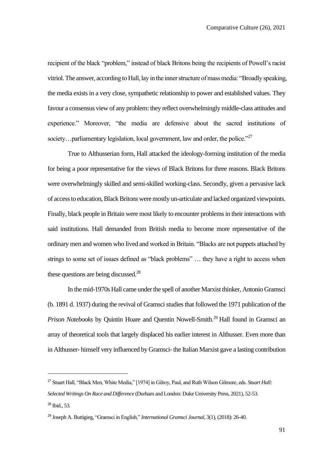recipient of the black "problem," instead of black Britons being the recipients of Powell's racist vitriol. The answer, according to Hall, lay in the inner structure of mass media: "Broadly speaking, the media exists in a very close, sympathetic relationship to power and established values. They favour a consensus view of any problem: they reflect overwhelmingly middle-class attitudes and experience." Moreover, "the media are defensive about the sacred institutions of society... parliamentary legislation, local government, law and order, the police." $^{27}$ 

True to Althusserian form, Hall attacked the ideology-forming institution of the media for being a poor representative for the views of Black Britons for three reasons. Black Britons were overwhelmingly skilled and semi-skilled working-class. Secondly, given a pervasive lack of access to education, Black Britons were mostly un-articulate and lacked organized viewpoints. Finally, black people in Britain were most likely to encounter problems in their interactions with said institutions. Hall demanded from British media to become more representative of the ordinary men and women who lived and worked in Britain. "Blacks are not puppets attached by strings to some set of issues defined as "black problems" … they have a right to access when these questions are being discussed. $28$ 

In the mid-1970s Hall came under the spell of another Marxist thinker, Antonio Gramsci (b. 1891 d. 1937) during the revival of Gramsci studies that followed the 1971 publication of the *Prison Notebooks* by Ouintin Hoare and Ouentin Nowell-Smith.<sup>29</sup> Hall found in Gramsci an array of theoretical tools that largely displaced his earlier interest in Althusser. Even more than in Althusser- himself very influenced by Gramsci- the Italian Marxist gave a lasting contribution

<sup>27</sup> Stuart Hall, "Black Men, White Media," [1974] in Gilroy, Paul, and Ruth Wilson Gilmore, eds. *Stuart Hall: Selected Writings On Race and Difference* (Durham and London: Duke University Press, 2021), 52-53.  $^{28}$  Ibid., 53.

<sup>29</sup> Joseph A. Buttigieg, "Gramsci in English," *International Gramsci Journal*, 3(1), (2018): 26-40.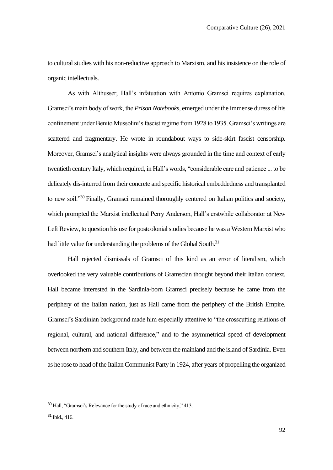to cultural studies with his non-reductive approach to Marxism, and his insistence on the role of organic intellectuals.

As with Althusser, Hall's infatuation with Antonio Gramsci requires explanation. Gramsci's main body of work, the *Prison Notebooks*, emerged under the immense duress of his confinement under Benito Mussolini's fascist regime from 1928 to 1935. Gramsci's writings are scattered and fragmentary. He wrote in roundabout ways to side-skirt fascist censorship. Moreover, Gramsci's analytical insights were always grounded in the time and context of early twentieth century Italy, which required, in Hall's words, "considerable care and patience ... to be delicately dis-interred from their concrete and specific historical embeddedness and transplanted to new soil.<sup>330</sup> Finally, Gramsci remained thoroughly centered on Italian politics and society, which prompted the Marxist intellectual Perry Anderson, Hall's erstwhile collaborator at New Left Review, to question his use for postcolonial studies because he was a Western Marxist who had little value for understanding the problems of the Global South.<sup>31</sup>

Hall rejected dismissals of Gramsci of this kind as an error of literalism, which overlooked the very valuable contributions of Gramscian thought beyond their Italian context. Hall became interested in the Sardinia-born Gramsci precisely because he came from the periphery of the Italian nation, just as Hall came from the periphery of the British Empire. Gramsci's Sardinian background made him especially attentive to "the crosscutting relations of regional, cultural, and national difference," and to the asymmetrical speed of development between northern and southern Italy, and between the mainland and the island of Sardinia. Even as he rose to head of the Italian Communist Party in 1924, after years of propelling the organized

<sup>30</sup> Hall, "Gramsci's Relevance for the study of race and ethnicity," 413.

 $31$  Ibid.,  $416$ .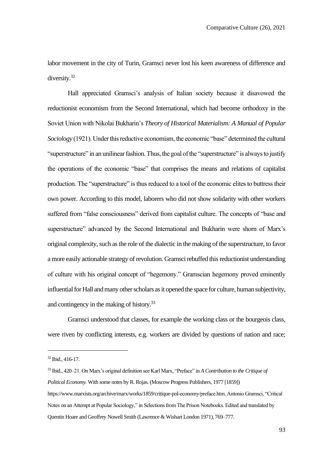labor movement in the city of Turin, Gramsci never lost his keen awareness of difference and diversity.<sup>32</sup>

Hall appreciated Gramsci's analysis of Italian society because it disavowed the reductionist economism from the Second International, which had become orthodoxy in the Soviet Union with Nikolai Bukharin's *Theory of Historical Materialism: A Manual of Popular Sociology* (1921). Under this reductive economism, the economic "base" determined the cultural "superstructure" in an unilinear fashion. Thus, the goal of the "superstructure" is always to justify the operations of the economic "base" that comprises the means and relations of capitalist production. The "superstructure" is thus reduced to a tool of the economic elites to buttress their own power. According to this model, laborers who did not show solidarity with other workers suffered from "false consciousness" derived from capitalist culture. The concepts of "base and superstructure" advanced by the Second International and Bukharin were shorn of Marx's original complexity, such as the role of the dialectic in the making of the superstructure, to favor a more easily actionable strategy of revolution. Gramsci rebuffed this reductionist understanding of culture with his original concept of "hegemony." Gramscian hegemony proved eminently influential for Hall and many other scholars as it opened the space for culture, human subjectivity, and contingency in the making of history.<sup>33</sup>

Gramsci understood that classes, for example the working class or the bourgeois class, were riven by conflicting interests, e.g. workers are divided by questions of nation and race;

<sup>32</sup> Ibid., 416-17.

<sup>33</sup> Ibid., 420–21. On Marx's original definition see Karl Marx, "Preface" in *A Contribution to the Critique of Political Economy.* With some notes by R. Rojas. (Moscow Progress Publishers, 1977 [1859]) https://www.marxists.org/archive/marx/works/1859/critique-pol-economy/preface.htm. Antonio Gramsci, "Critical Notes on an Attempt at Popular Sociology," in Selections from The Prison Notebooks. Edited and translated by Quentin Hoare and Geoffrey Nowell Smith (Lawrence & Wishart London 1971), 769–777.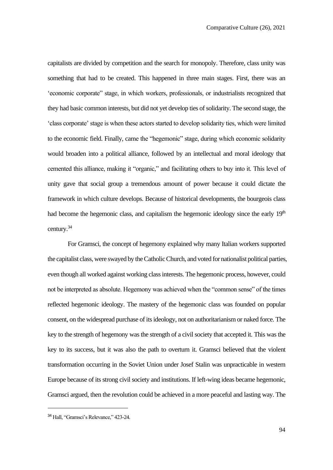capitalists are divided by competition and the search for monopoly. Therefore, class unity was something that had to be created. This happened in three main stages. First, there was an 'economic corporate" stage, in which workers, professionals, or industrialists recognized that they had basic common interests, but did not yet develop ties of solidarity. The second stage, the 'class corporate' stage is when these actors started to develop solidarity ties, which were limited to the economic field. Finally, came the "hegemonic" stage, during which economic solidarity would broaden into a political alliance, followed by an intellectual and moral ideology that cemented this alliance, making it "organic," and facilitating others to buy into it. This level of unity gave that social group a tremendous amount of power because it could dictate the framework in which culture develops. Because of historical developments, the bourgeois class had become the hegemonic class, and capitalism the hegemonic ideology since the early  $19<sup>th</sup>$ century.<sup>34</sup>

For Gramsci, the concept of hegemony explained why many Italian workers supported the capitalist class, were swayed by the Catholic Church, and voted for nationalist political parties, even though all worked against working class interests. The hegemonic process, however, could not be interpreted as absolute. Hegemony was achieved when the "common sense" of the times reflected hegemonic ideology. The mastery of the hegemonic class was founded on popular consent, on the widespread purchase of its ideology, not on authoritarianism or naked force. The key to the strength of hegemony was the strength of a civil society that accepted it. This was the key to its success, but it was also the path to overturn it. Gramsci believed that the violent transformation occurring in the Soviet Union under Josef Stalin was unpracticable in western Europe because of its strong civil society and institutions. If left-wing ideas became hegemonic, Gramsci argued, then the revolution could be achieved in a more peaceful and lasting way. The

<sup>34</sup> Hall, "Gramsci's Relevance," 423-24.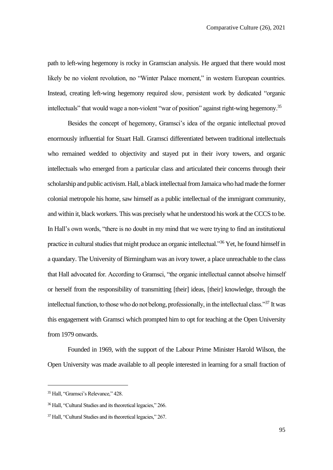path to left-wing hegemony is rocky in Gramscian analysis. He argued that there would most likely be no violent revolution, no "Winter Palace moment," in western European countries. Instead, creating left-wing hegemony required slow, persistent work by dedicated "organic intellectuals" that would wage a non-violent "war of position" against right-wing hegemony.<sup>35</sup>

Besides the concept of hegemony, Gramsci's idea of the organic intellectual proved enormously influential for Stuart Hall. Gramsci differentiated between traditional intellectuals who remained wedded to objectivity and stayed put in their ivory towers, and organic intellectuals who emerged from a particular class and articulated their concerns through their scholarship and public activism. Hall, a black intellectual from Jamaica who had made the former colonial metropole his home, saw himself as a public intellectual of the immigrant community, and within it, black workers. This was precisely what he understood his work at the CCCS to be. In Hall's own words, "there is no doubt in my mind that we were trying to find an institutional practice in cultural studies that might produce an organic intellectual."<sup>36</sup> Yet, he found himself in a quandary. The University of Birmingham was an ivory tower, a place unreachable to the class that Hall advocated for. According to Gramsci, "the organic intellectual cannot absolve himself or herself from the responsibility of transmitting [their] ideas, [their] knowledge, through the intellectual function, to those who do not belong, professionally, in the intellectual class."<sup>37</sup> It was this engagement with Gramsci which prompted him to opt for teaching at the Open University from 1979 onwards.

Founded in 1969, with the support of the Labour Prime Minister Harold Wilson, the Open University was made available to all people interested in learning for a small fraction of

<sup>35</sup> Hall, "Gramsci's Relevance," 428.

<sup>36</sup> Hall, "Cultural Studies and its theoretical legacies," 266.

<sup>37</sup> Hall, "Cultural Studies and its theoretical legacies," 267.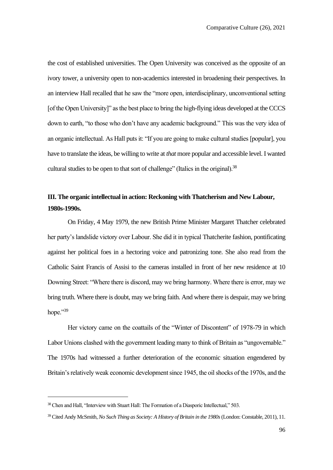the cost of established universities. The Open University was conceived as the opposite of an ivory tower, a university open to non-academics interested in broadening their perspectives. In an interview Hall recalled that he saw the "more open, interdisciplinary, unconventional setting [of the Open University]" as the best place to bring the high-flying ideas developed at the CCCS down to earth, "to those who don't have any academic background." This was the very idea of an organic intellectual. As Hall puts it: "If you are going to make cultural studies [popular], you have to translate the ideas, be willing to write at *that* more popular and accessible level. I wanted cultural studies to be open to that sort of challenge" (Italics in the original).<sup>38</sup>

# **III. The organic intellectual in action: Reckoning with Thatcherism and New Labour, 1980s-1990s.**

On Friday, 4 May 1979, the new British Prime Minister Margaret Thatcher celebrated her party's landslide victory over Labour. She did it in typical Thatcherite fashion, pontificating against her political foes in a hectoring voice and patronizing tone. She also read from the Catholic Saint Francis of Assisi to the cameras installed in front of her new residence at 10 Downing Street: "Where there is discord, may we bring harmony. Where there is error, may we bring truth. Where there is doubt, may we bring faith. And where there is despair, may we bring hope."39

Her victory came on the coattails of the "Winter of Discontent" of 1978-79 in which Labor Unions clashed with the government leading many to think of Britain as "ungovernable." The 1970s had witnessed a further deterioration of the economic situation engendered by Britain's relatively weak economic development since 1945, the oil shocks of the 1970s, and the

<sup>&</sup>lt;sup>38</sup> Chen and Hall, "Interview with Stuart Hall: The Formation of a Diasporic Intellectual," 503.

<sup>39</sup> Cited Andy McSmith, *No Such Thing as Society: A History of Britain in the 1980s*(London: Constable, 2011), 11.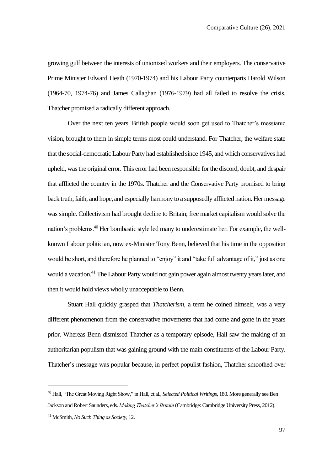growing gulf between the interests of unionized workers and their employers. The conservative Prime Minister Edward Heath (1970-1974) and his Labour Party counterparts Harold Wilson (1964-70, 1974-76) and James Callaghan (1976-1979) had all failed to resolve the crisis. Thatcher promised a radically different approach.

Over the next ten years, British people would soon get used to Thatcher's messianic vision, brought to them in simple terms most could understand. For Thatcher, the welfare state that the social-democratic Labour Party had established since 1945, and which conservatives had upheld, wasthe original error. This error had been responsible for the discord, doubt, and despair that afflicted the country in the 1970s. Thatcher and the Conservative Party promised to bring back truth, faith, and hope, and especially harmony to a supposedly afflicted nation. Her message was simple. Collectivism had brought decline to Britain; free market capitalism would solve the nation's problems.<sup>40</sup> Her bombastic style led many to underestimate her. For example, the wellknown Labour politician, now ex-Minister Tony Benn, believed that his time in the opposition would be short, and therefore he planned to "enjoy" it and "take full advantage of it," just as one would a vacation.<sup>41</sup> The Labour Party would not gain power again almost twenty years later, and then it would hold views wholly unacceptable to Benn.

Stuart Hall quickly grasped that *Thatcherism*, a term he coined himself, was a very different phenomenon from the conservative movements that had come and gone in the years prior. Whereas Benn dismissed Thatcher as a temporary episode, Hall saw the making of an authoritarian populism that was gaining ground with the main constituents of the Labour Party. Thatcher's message was popular because, in perfect populist fashion, Thatcher smoothed over

<sup>40</sup> Hall, "The Great Moving Right Show," in Hall, et.al., *Selected Political Writings,* 180. More generally see Ben Jackson and Robert Saunders, eds. *Making Thatcher's Britain* (Cambridge: Cambridge University Press, 2012). <sup>41</sup> McSmith, *No Such Thing as Society*, 12.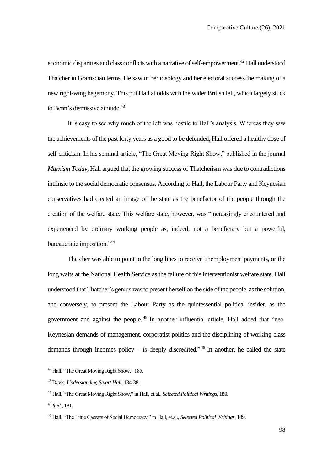economic disparities and class conflicts with a narrative of self-empowerment.<sup>42</sup> Hall understood Thatcher in Gramscian terms. He saw in her ideology and her electoral success the making of a new right-wing hegemony. This put Hall at odds with the wider British left, which largely stuck to Benn's dismissive attitude.<sup>43</sup>

It is easy to see why much of the left was hostile to Hall's analysis. Whereas they saw the achievements of the past forty years as a good to be defended, Hall offered a healthy dose of self-criticism. In his seminal article, "The Great Moving Right Show," published in the journal *Marxism Today,* Hall argued that the growing success of Thatcherism was due to contradictions intrinsic to the social democratic consensus. According to Hall, the Labour Party and Keynesian conservatives had created an image of the state as the benefactor of the people through the creation of the welfare state. This welfare state, however, was "increasingly encountered and experienced by ordinary working people as, indeed, not a beneficiary but a powerful, bureaucratic imposition."<sup>44</sup>

Thatcher was able to point to the long lines to receive unemployment payments, or the long waits at the National Health Service as the failure of this interventionist welfare state. Hall understood that Thatcher's genius was to present herself on the side of the people, as the solution, and conversely, to present the Labour Party as the quintessential political insider, as the government and against the people. <sup>45</sup> In another influential article, Hall added that "neo-Keynesian demands of management, corporatist politics and the disciplining of working-class demands through incomes policy – is deeply discredited."<sup>46</sup> In another, he called the state

<sup>42</sup> Hall, "The Great Moving Right Show," 185.

<sup>43</sup> Davis, *Understanding Stuart Hall*, 134-38.

<sup>44</sup> Hall, "The Great Moving Right Show," in Hall, et.al., *Selected Political Writings,* 180.

<sup>45</sup> *Ibid*., 181.

<sup>46</sup> Hall, "The Little Caesars of Social Democracy," in Hall, et.al., *Selected Political Writings,* 189.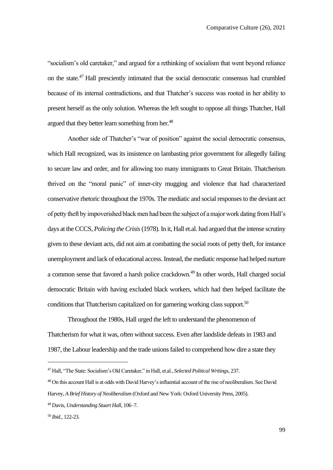"socialism's old caretaker," and argued for a rethinking of socialism that went beyond reliance on the state.<sup>47</sup> Hall presciently intimated that the social democratic consensus had crumbled because of its internal contradictions, and that Thatcher's success was rooted in her ability to present herself as the only solution. Whereas the left sought to oppose all things Thatcher, Hall argued that they better learn something from her.<sup>48</sup>

Another side of Thatcher's "war of position" against the social democratic consensus, which Hall recognized, was its insistence on lambasting prior government for allegedly failing to secure law and order, and for allowing too many immigrants to Great Britain. Thatcherism thrived on the "moral panic" of inner-city mugging and violence that had characterized conservative rhetoric throughout the 1970s. The mediatic and social responses to the deviant act of petty theft by impoverished black men had been the subject of a major work dating from Hall's days at the CCCS, *Policing the Crisis*(1978). In it, Hall et.al. had argued that the intense scrutiny given to these deviant acts, did not aim at combatting the social roots of petty theft, for instance unemployment and lack of educational access. Instead, the mediatic response had helped nurture a common sense that favored a harsh police crackdown.<sup>49</sup> In other words, Hall charged social democratic Britain with having excluded black workers, which had then helped facilitate the conditions that Thatcherism capitalized on for garnering working class support.<sup>50</sup>

Throughout the 1980s, Hall urged the left to understand the phenomenon of Thatcherism for what it was, often without success. Even after landslide defeats in 1983 and 1987, the Labour leadership and the trade unions failed to comprehend how dire a state they

<sup>47</sup> Hall, "The State: Socialism's Old Caretaker," in Hall, et.al., *Selected Political Writings,* 237.

<sup>&</sup>lt;sup>48</sup> On this account Hall is at odds with David Harvey's influential account of the rise of neoliberalism. See David Harvey, *A Brief History of Neoliberalism* (Oxford and New York: Oxford University Press, 2005).

<sup>49</sup> Davis, *Understanding Stuart Hall*, 106–7.

<sup>50</sup> *Ibid*., 122-23.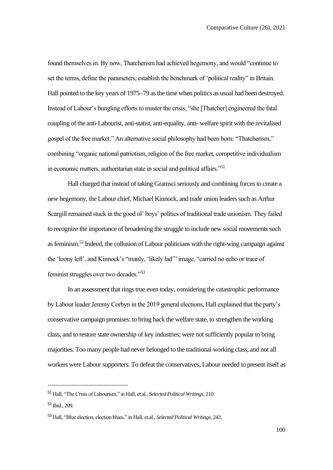found themselves in. By now, Thatcherism had achieved hegemony, and would "continue to set the terms, define the parameters, establish the benchmark of 'political reality" in Britain. Hall pointed to the key years of 1975–79 as the time when politics as usual had been destroyed. Instead of Labour's bungling efforts to master the crisis, "she [Thatcher] engineered the fatal coupling of the anti-Labourist, anti-statist, anti-equality, anti- welfare spirit with the revitalised gospel of the free market." An alternative social philosophy had been born: "Thatcherism," combining "organic national patriotism, religion of the free market, competitive individualism in economic matters, authoritarian state in social and political affairs."<sup>51</sup>

Hall charged that instead of taking Gramsci seriously and combining forces to create a new hegemony, the Labour chief, Michael Kinnock, and trade union leaders such as Arthur Scargill remained stuck in the good ol' boys' politics of traditional trade unionism. They failed to recognize the importance of broadening the struggle to include new social movements such as feminism.<sup>52</sup> Indeed, the collusion of Labour politicians with the right-wing campaign against the 'loony left', and Kinnock's "manly, 'likely lad'" image, "carried no echo or trace of feminist struggles over two decades."<sup>53</sup>

In an assessment that rings true even today, considering the catastrophic performance by Labour leader Jeremy Corbyn in the 2019 general elections, Hall explained that the party's conservative campaign promises: to bring back the welfare state, to strengthen the working class, and to restore state ownership of key industries; were not sufficiently popular to bring majorities. Too many people had never belonged to the traditional working class, and not all workers were Labour supporters. To defeat the conservatives, Labour needed to present itself as

<sup>51</sup> Hall, "The Crisis of Labourism," in Hall, et.al., *Selected Political Writings,* 210.

<sup>52</sup> *Ibid*., 209.

<sup>53</sup> Hall, "Blue election, election blues," in Hall, et.al., *Selected Political Writings,* 243.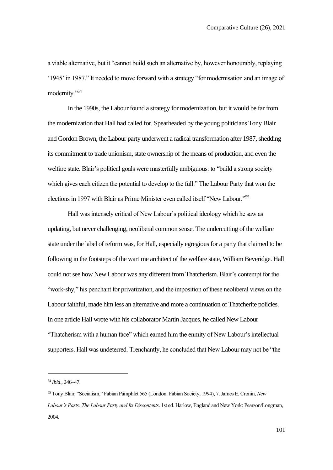a viable alternative, but it "cannot build such an alternative by, however honourably, replaying '1945' in 1987." It needed to move forward with a strategy "for modernisation and an image of modernity."<sup>54</sup>

In the 1990s, the Labour found a strategy for modernization, but it would be far from the modernization that Hall had called for. Spearheaded by the young politicians Tony Blair and Gordon Brown, the Labour party underwent a radical transformation after 1987, shedding its commitment to trade unionism, state ownership of the means of production, and even the welfare state. Blair's political goals were masterfully ambiguous: to "build a strong society which gives each citizen the potential to develop to the full." The Labour Party that won the elections in 1997 with Blair as Prime Minister even called itself "New Labour."<sup>55</sup>

Hall was intensely critical of New Labour's political ideology which he saw as updating, but never challenging, neoliberal common sense. The undercutting of the welfare state under the label of reform was, for Hall, especially egregious for a party that claimed to be following in the footsteps of the wartime architect of the welfare state, William Beveridge. Hall could not see how New Labour was any different from Thatcherism. Blair's contempt for the "work-shy," his penchant for privatization, and the imposition of these neoliberal views on the Labour faithful, made him less an alternative and more a continuation of Thatcherite policies. In one article Hall wrote with his collaborator Martin Jacques, he called New Labour "Thatcherism with a human face" which earned him the enmity of New Labour's intellectual supporters. Hall was undeterred. Trenchantly, he concluded that New Labour may not be "the

<sup>54</sup> *Ibid*., 246–47.

<sup>55</sup> Tony Blair, "Socialism," Fabian Pamphlet 565 (London: Fabian Society, 1994), 7. James E. Cronin, *New Labour's Pasts: The Labour Party and Its Discontents*. 1st ed. Harlow, England and New York: Pearson/Longman, 2004.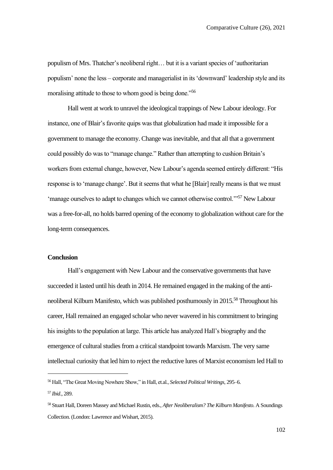populism of Mrs. Thatcher's neoliberal right… but it is a variant species of 'authoritarian populism' none the less – corporate and managerialist in its 'downward' leadership style and its moralising attitude to those to whom good is being done.<sup>"56</sup>

Hall went at work to unravel the ideological trappings of New Labour ideology. For instance, one of Blair's favorite quips was that globalization had made it impossible for a government to manage the economy. Change was inevitable, and that all that a government could possibly do was to "manage change." Rather than attempting to cushion Britain's workers from external change, however, New Labour's agenda seemed entirely different: "His response is to 'manage change'. But it seems that what he [Blair] really means is that we must 'manage ourselves to adapt to changes which we cannot otherwise control.'"<sup>57</sup> New Labour was a free-for-all, no holds barred opening of the economy to globalization without care for the long-term consequences.

### **Conclusion**

Hall's engagement with New Labour and the conservative governments that have succeeded it lasted until his death in 2014. He remained engaged in the making of the antineoliberal Kilburn Manifesto, which was published posthumously in 2015.<sup>58</sup> Throughout his career, Hall remained an engaged scholar who never wavered in his commitment to bringing his insights to the population at large. This article has analyzed Hall's biography and the emergence of cultural studies from a critical standpoint towards Marxism. The very same intellectual curiosity that led him to reject the reductive lures of Marxist economism led Hall to

<sup>56</sup> Hall, "The Great Moving Nowhere Show," in Hall, et.al., *Selected Political Writings,* 295–6.

<sup>57</sup> *Ibid*., 289.

<sup>58</sup> Stuart Hall, Doreen Massey and Michael Rustin, eds., *After Neoliberalism? The Kilburn Manifesto*. A Soundings Collection. (London: Lawrence and Wishart, 2015).